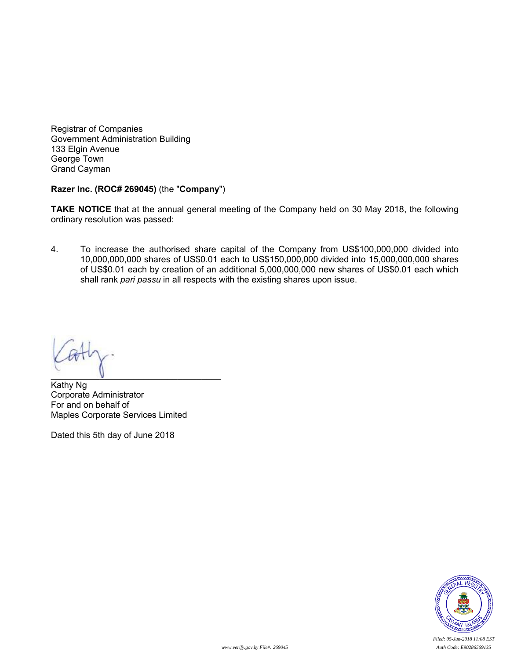Registrar of Companies Government Administration Building 133 Elgin Avenue George Town Grand Cayman

#### **Razer Inc. (ROC# 269045)** (the "**Company**")

**TAKE NOTICE** that at the annual general meeting of the Company held on 30 May 2018, the following ordinary resolution was passed:

4. To increase the authorised share capital of the Company from US\$100,000,000 divided into 10,000,000,000 shares of US\$0.01 each to US\$150,000,000 divided into 15,000,000,000 shares of US\$0.01 each by creation of an additional 5,000,000,000 new shares of US\$0.01 each which shall rank *pari passu* in all respects with the existing shares upon issue.

 $\mathbf{U}$ 

Kathy Ng Corporate Administrator For and on behalf of Maples Corporate Services Limited

Dated this 5th day of June 2018



*Filed: 05-Jun-2018 11:08 EST*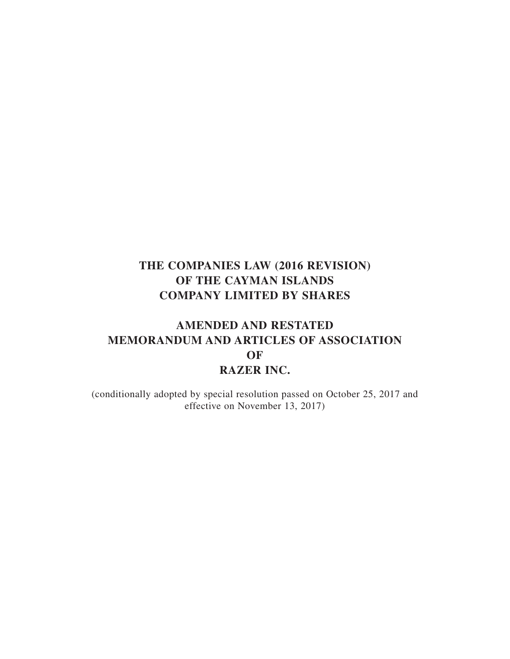# **AMENDED AND RESTATED MEMORANDUM AND ARTICLES OF ASSOCIATION OF RAZER INC.**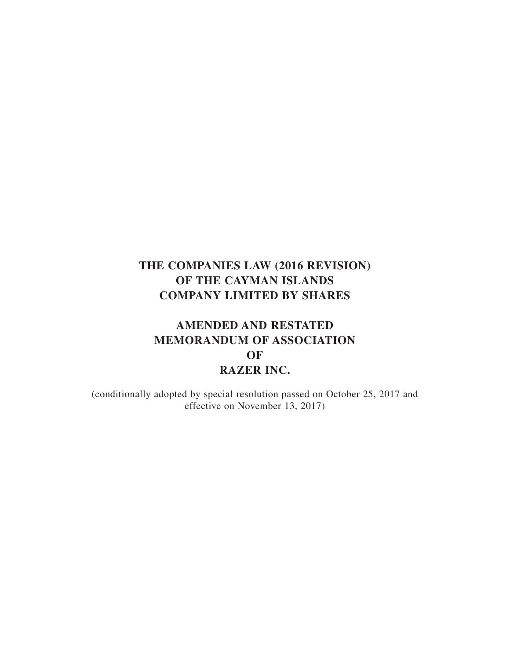# **AMENDED AND RESTATED MEMORANDUM OF ASSOCIATION OF RAZER INC.**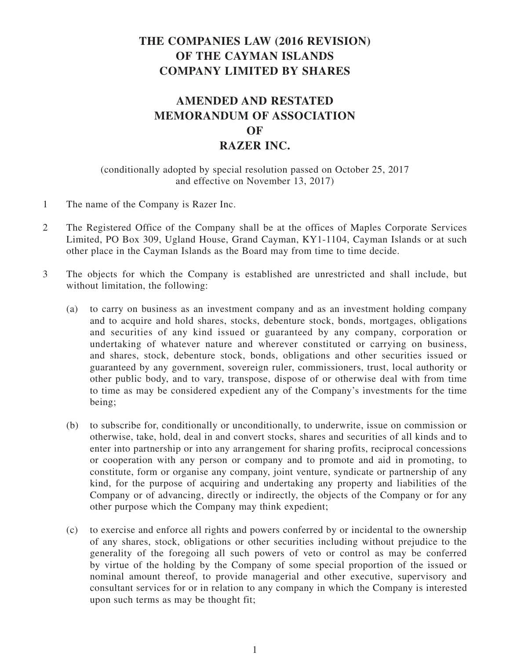# **AMENDED AND RESTATED MEMORANDUM OF ASSOCIATION OF RAZER INC.**

- 1 The name of the Company is Razer Inc.
- 2 The Registered Office of the Company shall be at the offices of Maples Corporate Services Limited, PO Box 309, Ugland House, Grand Cayman, KY1-1104, Cayman Islands or at such other place in the Cayman Islands as the Board may from time to time decide.
- 3 The objects for which the Company is established are unrestricted and shall include, but without limitation, the following:
	- (a) to carry on business as an investment company and as an investment holding company and to acquire and hold shares, stocks, debenture stock, bonds, mortgages, obligations and securities of any kind issued or guaranteed by any company, corporation or undertaking of whatever nature and wherever constituted or carrying on business, and shares, stock, debenture stock, bonds, obligations and other securities issued or guaranteed by any government, sovereign ruler, commissioners, trust, local authority or other public body, and to vary, transpose, dispose of or otherwise deal with from time to time as may be considered expedient any of the Company's investments for the time being;
	- (b) to subscribe for, conditionally or unconditionally, to underwrite, issue on commission or otherwise, take, hold, deal in and convert stocks, shares and securities of all kinds and to enter into partnership or into any arrangement for sharing profits, reciprocal concessions or cooperation with any person or company and to promote and aid in promoting, to constitute, form or organise any company, joint venture, syndicate or partnership of any kind, for the purpose of acquiring and undertaking any property and liabilities of the Company or of advancing, directly or indirectly, the objects of the Company or for any other purpose which the Company may think expedient;
	- (c) to exercise and enforce all rights and powers conferred by or incidental to the ownership of any shares, stock, obligations or other securities including without prejudice to the generality of the foregoing all such powers of veto or control as may be conferred by virtue of the holding by the Company of some special proportion of the issued or nominal amount thereof, to provide managerial and other executive, supervisory and consultant services for or in relation to any company in which the Company is interested upon such terms as may be thought fit;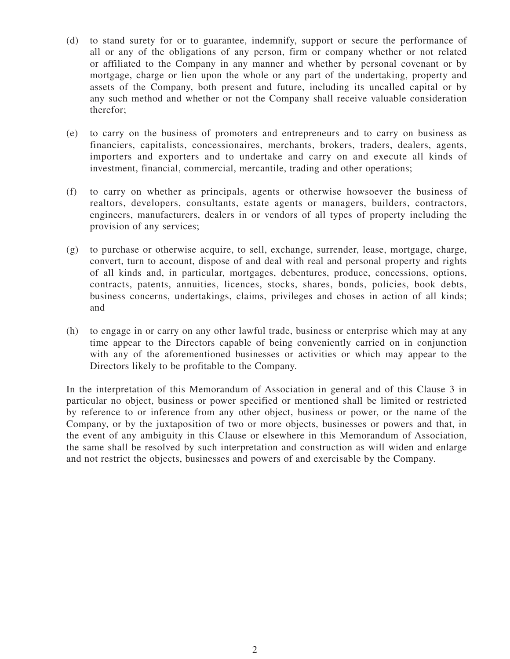- (d) to stand surety for or to guarantee, indemnify, support or secure the performance of all or any of the obligations of any person, firm or company whether or not related or affiliated to the Company in any manner and whether by personal covenant or by mortgage, charge or lien upon the whole or any part of the undertaking, property and assets of the Company, both present and future, including its uncalled capital or by any such method and whether or not the Company shall receive valuable consideration therefor;
- (e) to carry on the business of promoters and entrepreneurs and to carry on business as financiers, capitalists, concessionaires, merchants, brokers, traders, dealers, agents, importers and exporters and to undertake and carry on and execute all kinds of investment, financial, commercial, mercantile, trading and other operations;
- (f) to carry on whether as principals, agents or otherwise howsoever the business of realtors, developers, consultants, estate agents or managers, builders, contractors, engineers, manufacturers, dealers in or vendors of all types of property including the provision of any services;
- (g) to purchase or otherwise acquire, to sell, exchange, surrender, lease, mortgage, charge, convert, turn to account, dispose of and deal with real and personal property and rights of all kinds and, in particular, mortgages, debentures, produce, concessions, options, contracts, patents, annuities, licences, stocks, shares, bonds, policies, book debts, business concerns, undertakings, claims, privileges and choses in action of all kinds; and
- (h) to engage in or carry on any other lawful trade, business or enterprise which may at any time appear to the Directors capable of being conveniently carried on in conjunction with any of the aforementioned businesses or activities or which may appear to the Directors likely to be profitable to the Company.

In the interpretation of this Memorandum of Association in general and of this Clause 3 in particular no object, business or power specified or mentioned shall be limited or restricted by reference to or inference from any other object, business or power, or the name of the Company, or by the juxtaposition of two or more objects, businesses or powers and that, in the event of any ambiguity in this Clause or elsewhere in this Memorandum of Association, the same shall be resolved by such interpretation and construction as will widen and enlarge and not restrict the objects, businesses and powers of and exercisable by the Company.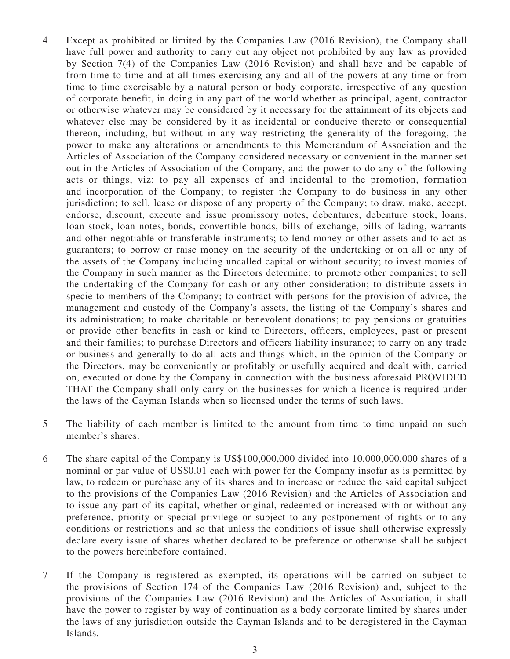- 4 Except as prohibited or limited by the Companies Law (2016 Revision), the Company shall have full power and authority to carry out any object not prohibited by any law as provided by Section 7(4) of the Companies Law (2016 Revision) and shall have and be capable of from time to time and at all times exercising any and all of the powers at any time or from time to time exercisable by a natural person or body corporate, irrespective of any question of corporate benefit, in doing in any part of the world whether as principal, agent, contractor or otherwise whatever may be considered by it necessary for the attainment of its objects and whatever else may be considered by it as incidental or conducive thereto or consequential thereon, including, but without in any way restricting the generality of the foregoing, the power to make any alterations or amendments to this Memorandum of Association and the Articles of Association of the Company considered necessary or convenient in the manner set out in the Articles of Association of the Company, and the power to do any of the following acts or things, viz: to pay all expenses of and incidental to the promotion, formation and incorporation of the Company; to register the Company to do business in any other jurisdiction; to sell, lease or dispose of any property of the Company; to draw, make, accept, endorse, discount, execute and issue promissory notes, debentures, debenture stock, loans, loan stock, loan notes, bonds, convertible bonds, bills of exchange, bills of lading, warrants and other negotiable or transferable instruments; to lend money or other assets and to act as guarantors; to borrow or raise money on the security of the undertaking or on all or any of the assets of the Company including uncalled capital or without security; to invest monies of the Company in such manner as the Directors determine; to promote other companies; to sell the undertaking of the Company for cash or any other consideration; to distribute assets in specie to members of the Company; to contract with persons for the provision of advice, the management and custody of the Company's assets, the listing of the Company's shares and its administration; to make charitable or benevolent donations; to pay pensions or gratuities or provide other benefits in cash or kind to Directors, officers, employees, past or present and their families; to purchase Directors and officers liability insurance; to carry on any trade or business and generally to do all acts and things which, in the opinion of the Company or the Directors, may be conveniently or profitably or usefully acquired and dealt with, carried on, executed or done by the Company in connection with the business aforesaid PROVIDED THAT the Company shall only carry on the businesses for which a licence is required under the laws of the Cayman Islands when so licensed under the terms of such laws.
- 5 The liability of each member is limited to the amount from time to time unpaid on such member's shares.
- 6 The share capital of the Company is US\$100,000,000 divided into 10,000,000,000 shares of a nominal or par value of US\$0.01 each with power for the Company insofar as is permitted by law, to redeem or purchase any of its shares and to increase or reduce the said capital subject to the provisions of the Companies Law (2016 Revision) and the Articles of Association and to issue any part of its capital, whether original, redeemed or increased with or without any preference, priority or special privilege or subject to any postponement of rights or to any conditions or restrictions and so that unless the conditions of issue shall otherwise expressly declare every issue of shares whether declared to be preference or otherwise shall be subject to the powers hereinbefore contained.
- 7 If the Company is registered as exempted, its operations will be carried on subject to the provisions of Section 174 of the Companies Law (2016 Revision) and, subject to the provisions of the Companies Law (2016 Revision) and the Articles of Association, it shall have the power to register by way of continuation as a body corporate limited by shares under the laws of any jurisdiction outside the Cayman Islands and to be deregistered in the Cayman Islands.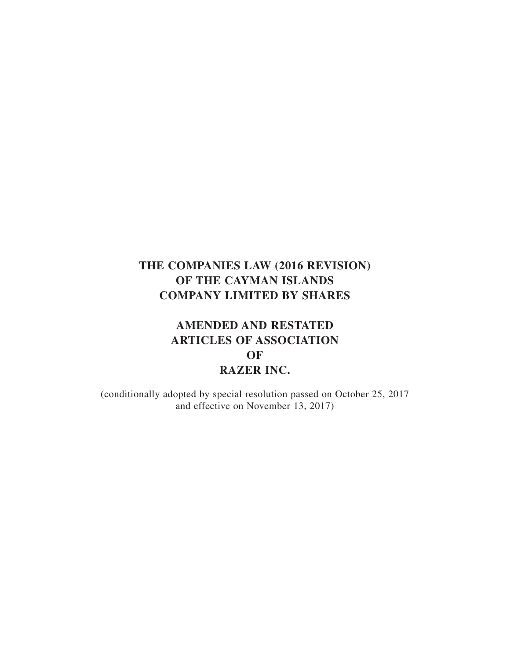# **AMENDED AND RESTATED ARTICLES OF ASSOCIATION OF RAZER INC.**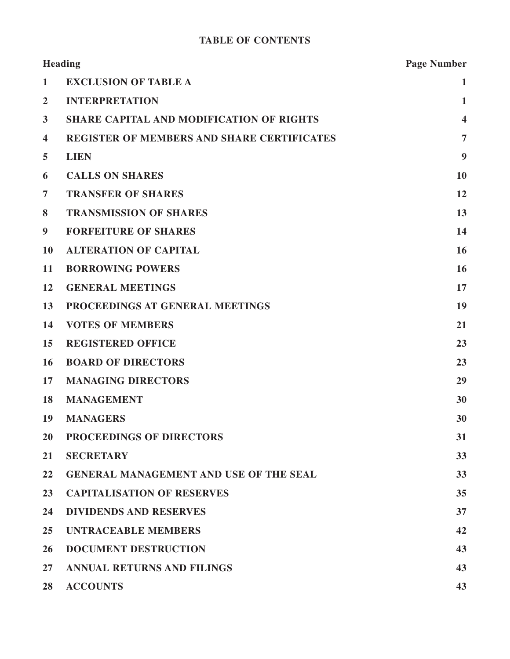## **TABLE OF CONTENTS**

| <b>Heading</b>          |                                                   | <b>Page Number</b>      |
|-------------------------|---------------------------------------------------|-------------------------|
| 1                       | <b>EXCLUSION OF TABLE A</b>                       | $\mathbf{1}$            |
| $\overline{2}$          | <b>INTERPRETATION</b>                             | $\mathbf{1}$            |
| $\overline{\mathbf{3}}$ | <b>SHARE CAPITAL AND MODIFICATION OF RIGHTS</b>   | $\overline{\mathbf{4}}$ |
| $\overline{\mathbf{4}}$ | <b>REGISTER OF MEMBERS AND SHARE CERTIFICATES</b> | $\overline{7}$          |
| 5                       | <b>LIEN</b>                                       | 9                       |
| 6                       | <b>CALLS ON SHARES</b>                            | 10                      |
| $\overline{7}$          | <b>TRANSFER OF SHARES</b>                         | 12                      |
| 8                       | <b>TRANSMISSION OF SHARES</b>                     | 13                      |
| 9                       | <b>FORFEITURE OF SHARES</b>                       | 14                      |
| 10                      | <b>ALTERATION OF CAPITAL</b>                      | 16                      |
| 11                      | <b>BORROWING POWERS</b>                           | 16                      |
| 12                      | <b>GENERAL MEETINGS</b>                           | 17                      |
| 13                      | PROCEEDINGS AT GENERAL MEETINGS                   | 19                      |
| 14                      | <b>VOTES OF MEMBERS</b>                           | 21                      |
| 15                      | <b>REGISTERED OFFICE</b>                          | 23                      |
| <b>16</b>               | <b>BOARD OF DIRECTORS</b>                         | 23                      |
| 17                      | <b>MANAGING DIRECTORS</b>                         | 29                      |
| 18                      | <b>MANAGEMENT</b>                                 | 30                      |
| 19                      | <b>MANAGERS</b>                                   | 30                      |
| 20                      | PROCEEDINGS OF DIRECTORS                          | 31                      |
| 21                      | <b>SECRETARY</b>                                  | 33                      |
| 22                      | <b>GENERAL MANAGEMENT AND USE OF THE SEAL</b>     | 33                      |
| 23                      | <b>CAPITALISATION OF RESERVES</b>                 | 35                      |
| 24                      | <b>DIVIDENDS AND RESERVES</b>                     | 37                      |
| 25                      | <b>UNTRACEABLE MEMBERS</b>                        | 42                      |
| 26                      | <b>DOCUMENT DESTRUCTION</b>                       | 43                      |
| $27\,$                  | <b>ANNUAL RETURNS AND FILINGS</b>                 | 43                      |
| 28                      | <b>ACCOUNTS</b>                                   | 43                      |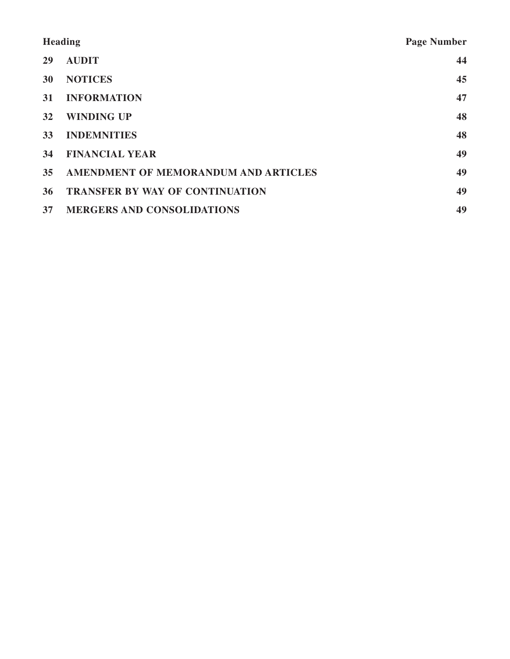| <b>Heading</b> |                                        | <b>Page Number</b> |
|----------------|----------------------------------------|--------------------|
| 29             | <b>AUDIT</b>                           | 44                 |
| <b>30</b>      | <b>NOTICES</b>                         | 45                 |
| <b>31</b>      | <b>INFORMATION</b>                     | 47                 |
| 32             | <b>WINDING UP</b>                      | 48                 |
| <b>33</b>      | <b>INDEMNITIES</b>                     | 48                 |
| 34             | <b>FINANCIAL YEAR</b>                  | 49                 |
| 35             | AMENDMENT OF MEMORANDUM AND ARTICLES   | 49                 |
| 36             | <b>TRANSFER BY WAY OF CONTINUATION</b> | 49                 |
| 37             | <b>MERGERS AND CONSOLIDATIONS</b>      | 49                 |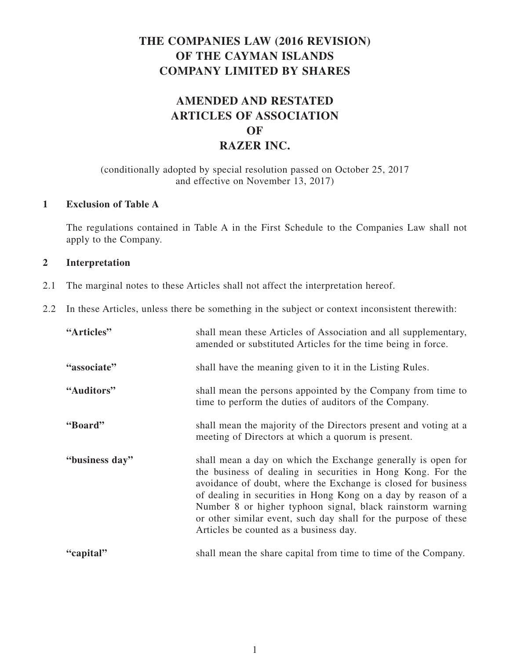# **AMENDED AND RESTATED ARTICLES OF ASSOCIATION OF RAZER INC.**

### (conditionally adopted by special resolution passed on October 25, 2017 and effective on November 13, 2017)

### **1 Exclusion of Table A**

The regulations contained in Table A in the First Schedule to the Companies Law shall not apply to the Company.

### **2 Interpretation**

- 2.1 The marginal notes to these Articles shall not affect the interpretation hereof.
- 2.2 In these Articles, unless there be something in the subject or context inconsistent therewith:

| "Articles"     | shall mean these Articles of Association and all supplementary,<br>amended or substituted Articles for the time being in force.                                                                                                                                                                                                                                                                                                          |
|----------------|------------------------------------------------------------------------------------------------------------------------------------------------------------------------------------------------------------------------------------------------------------------------------------------------------------------------------------------------------------------------------------------------------------------------------------------|
| "associate"    | shall have the meaning given to it in the Listing Rules.                                                                                                                                                                                                                                                                                                                                                                                 |
| "Auditors"     | shall mean the persons appointed by the Company from time to<br>time to perform the duties of auditors of the Company.                                                                                                                                                                                                                                                                                                                   |
| "Board"        | shall mean the majority of the Directors present and voting at a<br>meeting of Directors at which a quorum is present.                                                                                                                                                                                                                                                                                                                   |
| "business day" | shall mean a day on which the Exchange generally is open for<br>the business of dealing in securities in Hong Kong. For the<br>avoidance of doubt, where the Exchange is closed for business<br>of dealing in securities in Hong Kong on a day by reason of a<br>Number 8 or higher typhoon signal, black rainstorm warning<br>or other similar event, such day shall for the purpose of these<br>Articles be counted as a business day. |
| "capital"      | shall mean the share capital from time to time of the Company.                                                                                                                                                                                                                                                                                                                                                                           |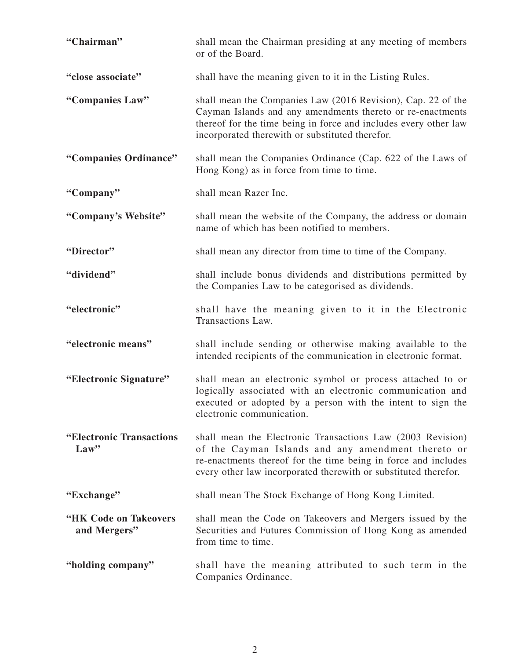| "Chairman"                            | shall mean the Chairman presiding at any meeting of members<br>or of the Board.                                                                                                                                                                       |
|---------------------------------------|-------------------------------------------------------------------------------------------------------------------------------------------------------------------------------------------------------------------------------------------------------|
| "close associate"                     | shall have the meaning given to it in the Listing Rules.                                                                                                                                                                                              |
| "Companies Law"                       | shall mean the Companies Law (2016 Revision), Cap. 22 of the<br>Cayman Islands and any amendments thereto or re-enactments<br>thereof for the time being in force and includes every other law<br>incorporated therewith or substituted therefor.     |
| "Companies Ordinance"                 | shall mean the Companies Ordinance (Cap. 622 of the Laws of<br>Hong Kong) as in force from time to time.                                                                                                                                              |
| "Company"                             | shall mean Razer Inc.                                                                                                                                                                                                                                 |
| "Company's Website"                   | shall mean the website of the Company, the address or domain<br>name of which has been notified to members.                                                                                                                                           |
| "Director"                            | shall mean any director from time to time of the Company.                                                                                                                                                                                             |
| "dividend"                            | shall include bonus dividends and distributions permitted by<br>the Companies Law to be categorised as dividends.                                                                                                                                     |
| "electronic"                          | shall have the meaning given to it in the Electronic<br>Transactions Law.                                                                                                                                                                             |
| "electronic means"                    | shall include sending or otherwise making available to the<br>intended recipients of the communication in electronic format.                                                                                                                          |
| "Electronic Signature"                | shall mean an electronic symbol or process attached to or<br>logically associated with an electronic communication and<br>executed or adopted by a person with the intent to sign the<br>electronic communication.                                    |
| "Electronic Transactions"<br>Law      | shall mean the Electronic Transactions Law (2003 Revision)<br>of the Cayman Islands and any amendment thereto or<br>re-enactments thereof for the time being in force and includes<br>every other law incorporated therewith or substituted therefor. |
| "Exchange"                            | shall mean The Stock Exchange of Hong Kong Limited.                                                                                                                                                                                                   |
| "HK Code on Takeovers<br>and Mergers" | shall mean the Code on Takeovers and Mergers issued by the<br>Securities and Futures Commission of Hong Kong as amended<br>from time to time.                                                                                                         |
| "holding company"                     | shall have the meaning attributed to such term in the<br>Companies Ordinance.                                                                                                                                                                         |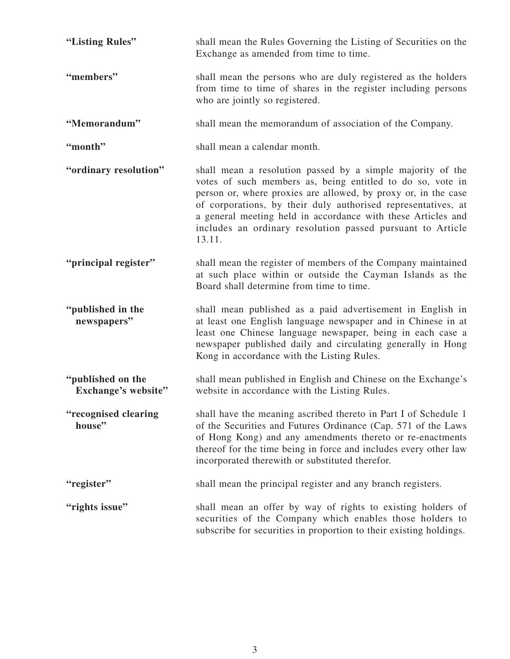| "Listing Rules"                          | shall mean the Rules Governing the Listing of Securities on the<br>Exchange as amended from time to time.                                                                                                                                                                                                                                                                                           |
|------------------------------------------|-----------------------------------------------------------------------------------------------------------------------------------------------------------------------------------------------------------------------------------------------------------------------------------------------------------------------------------------------------------------------------------------------------|
| "members"                                | shall mean the persons who are duly registered as the holders<br>from time to time of shares in the register including persons<br>who are jointly so registered.                                                                                                                                                                                                                                    |
| "Memorandum"                             | shall mean the memorandum of association of the Company.                                                                                                                                                                                                                                                                                                                                            |
| "month"                                  | shall mean a calendar month.                                                                                                                                                                                                                                                                                                                                                                        |
| "ordinary resolution"                    | shall mean a resolution passed by a simple majority of the<br>votes of such members as, being entitled to do so, vote in<br>person or, where proxies are allowed, by proxy or, in the case<br>of corporations, by their duly authorised representatives, at<br>a general meeting held in accordance with these Articles and<br>includes an ordinary resolution passed pursuant to Article<br>13.11. |
| "principal register"                     | shall mean the register of members of the Company maintained<br>at such place within or outside the Cayman Islands as the<br>Board shall determine from time to time.                                                                                                                                                                                                                               |
| "published in the<br>newspapers"         | shall mean published as a paid advertisement in English in<br>at least one English language newspaper and in Chinese in at<br>least one Chinese language newspaper, being in each case a<br>newspaper published daily and circulating generally in Hong<br>Kong in accordance with the Listing Rules.                                                                                               |
| "published on the<br>Exchange's website" | shall mean published in English and Chinese on the Exchange's<br>website in accordance with the Listing Rules.                                                                                                                                                                                                                                                                                      |
| "recognised clearing<br>house"           | shall have the meaning ascribed thereto in Part I of Schedule 1<br>of the Securities and Futures Ordinance (Cap. 571 of the Laws<br>of Hong Kong) and any amendments thereto or re-enactments<br>thereof for the time being in force and includes every other law<br>incorporated therewith or substituted therefor.                                                                                |
| "register"                               | shall mean the principal register and any branch registers.                                                                                                                                                                                                                                                                                                                                         |
| "rights issue"                           | shall mean an offer by way of rights to existing holders of<br>securities of the Company which enables those holders to<br>subscribe for securities in proportion to their existing holdings.                                                                                                                                                                                                       |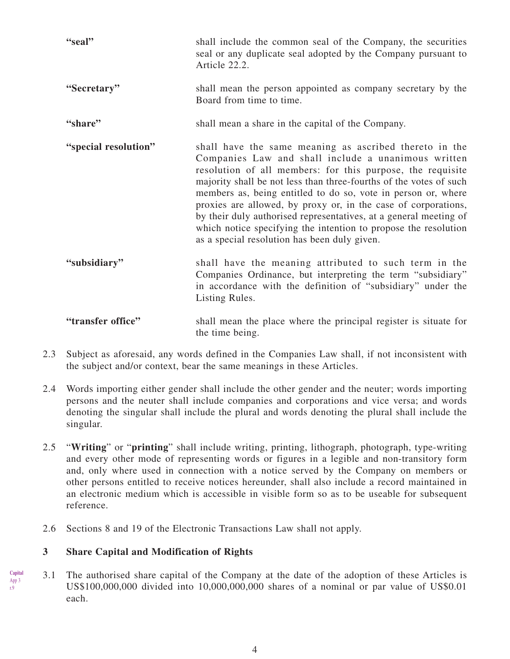| "seal"               | shall include the common seal of the Company, the securities<br>seal or any duplicate seal adopted by the Company pursuant to<br>Article 22.2.                                                                                                                                                                                                                                                                                                                                                                                                                               |
|----------------------|------------------------------------------------------------------------------------------------------------------------------------------------------------------------------------------------------------------------------------------------------------------------------------------------------------------------------------------------------------------------------------------------------------------------------------------------------------------------------------------------------------------------------------------------------------------------------|
| "Secretary"          | shall mean the person appointed as company secretary by the<br>Board from time to time.                                                                                                                                                                                                                                                                                                                                                                                                                                                                                      |
| "share"              | shall mean a share in the capital of the Company.                                                                                                                                                                                                                                                                                                                                                                                                                                                                                                                            |
| "special resolution" | shall have the same meaning as ascribed thereto in the<br>Companies Law and shall include a unanimous written<br>resolution of all members: for this purpose, the requisite<br>majority shall be not less than three-fourths of the votes of such<br>members as, being entitled to do so, vote in person or, where<br>proxies are allowed, by proxy or, in the case of corporations,<br>by their duly authorised representatives, at a general meeting of<br>which notice specifying the intention to propose the resolution<br>as a special resolution has been duly given. |
| "subsidiary"         | shall have the meaning attributed to such term in the<br>Companies Ordinance, but interpreting the term "subsidiary"<br>in accordance with the definition of "subsidiary" under the<br>Listing Rules.                                                                                                                                                                                                                                                                                                                                                                        |
| "transfer office"    | shall mean the place where the principal register is situate for<br>the time being.                                                                                                                                                                                                                                                                                                                                                                                                                                                                                          |

- 2.3 Subject as aforesaid, any words defined in the Companies Law shall, if not inconsistent with the subject and/or context, bear the same meanings in these Articles.
- 2.4 Words importing either gender shall include the other gender and the neuter; words importing persons and the neuter shall include companies and corporations and vice versa; and words denoting the singular shall include the plural and words denoting the plural shall include the singular.
- 2.5 "**Writing**" or "**printing**" shall include writing, printing, lithograph, photograph, type-writing and every other mode of representing words or figures in a legible and non-transitory form and, only where used in connection with a notice served by the Company on members or other persons entitled to receive notices hereunder, shall also include a record maintained in an electronic medium which is accessible in visible form so as to be useable for subsequent reference.
- 2.6 Sections 8 and 19 of the Electronic Transactions Law shall not apply.

### **3 Share Capital and Modification of Rights**

**Capital** App 3 r.9

3.1 The authorised share capital of the Company at the date of the adoption of these Articles is US\$100,000,000 divided into 10,000,000,000 shares of a nominal or par value of US\$0.01 each.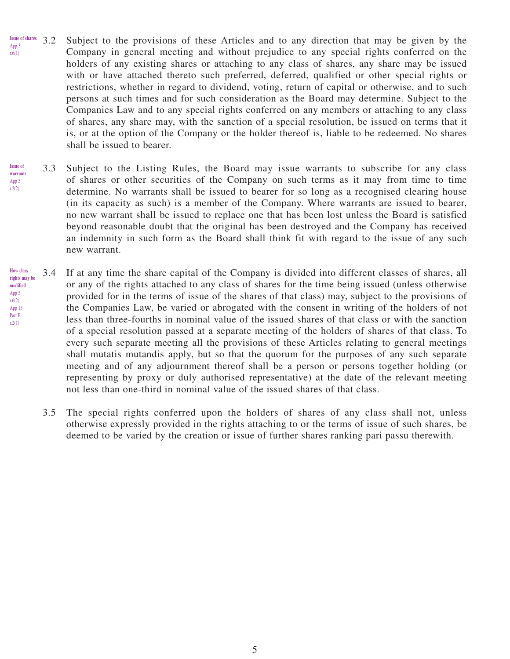- Subject to the provisions of these Articles and to any direction that may be given by the Company in general meeting and without prejudice to any special rights conferred on the holders of any existing shares or attaching to any class of shares, any share may be issued with or have attached thereto such preferred, deferred, qualified or other special rights or restrictions, whether in regard to dividend, voting, return of capital or otherwise, and to such persons at such times and for such consideration as the Board may determine. Subject to the Companies Law and to any special rights conferred on any members or attaching to any class of shares, any share may, with the sanction of a special resolution, be issued on terms that it is, or at the option of the Company or the holder thereof is, liable to be redeemed. No shares shall be issued to bearer. **Issue of shares** App 3 r.6(1)
- 3.3 Subject to the Listing Rules, the Board may issue warrants to subscribe for any class of shares or other securities of the Company on such terms as it may from time to time determine. No warrants shall be issued to bearer for so long as a recognised clearing house (in its capacity as such) is a member of the Company. Where warrants are issued to bearer, no new warrant shall be issued to replace one that has been lost unless the Board is satisfied beyond reasonable doubt that the original has been destroyed and the Company has received an indemnity in such form as the Board shall think fit with regard to the issue of any such new warrant. **Issue of warrants** App 3 r.2(2)
- 3.4 If at any time the share capital of the Company is divided into different classes of shares, all or any of the rights attached to any class of shares for the time being issued (unless otherwise provided for in the terms of issue of the shares of that class) may, subject to the provisions of the Companies Law, be varied or abrogated with the consent in writing of the holders of not less than three-fourths in nominal value of the issued shares of that class or with the sanction of a special resolution passed at a separate meeting of the holders of shares of that class. To every such separate meeting all the provisions of these Articles relating to general meetings shall mutatis mutandis apply, but so that the quorum for the purposes of any such separate meeting and of any adjournment thereof shall be a person or persons together holding (or representing by proxy or duly authorised representative) at the date of the relevant meeting not less than one-third in nominal value of the issued shares of that class. **How class rights may be modified** App 3 r.6(2) App 13 Part B  $r.2(1)$ 
	- 3.5 The special rights conferred upon the holders of shares of any class shall not, unless otherwise expressly provided in the rights attaching to or the terms of issue of such shares, be deemed to be varied by the creation or issue of further shares ranking pari passu therewith.

5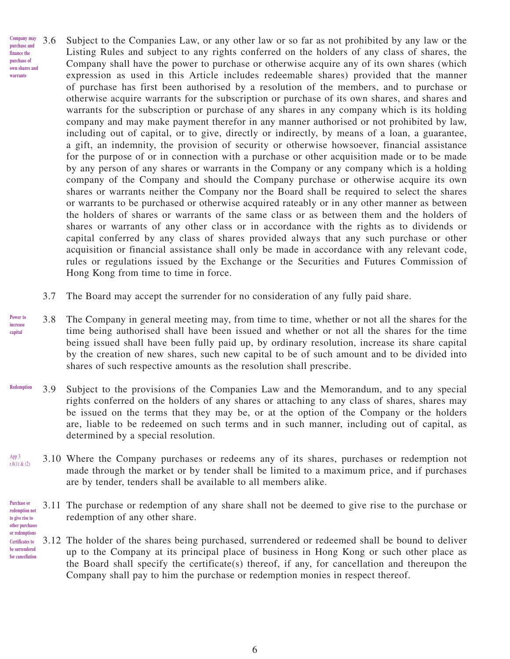- 3.6 Subject to the Companies Law, or any other law or so far as not prohibited by any law or the Listing Rules and subject to any rights conferred on the holders of any class of shares, the Company shall have the power to purchase or otherwise acquire any of its own shares (which expression as used in this Article includes redeemable shares) provided that the manner of purchase has first been authorised by a resolution of the members, and to purchase or otherwise acquire warrants for the subscription or purchase of its own shares, and shares and warrants for the subscription or purchase of any shares in any company which is its holding company and may make payment therefor in any manner authorised or not prohibited by law, including out of capital, or to give, directly or indirectly, by means of a loan, a guarantee, a gift, an indemnity, the provision of security or otherwise howsoever, financial assistance for the purpose of or in connection with a purchase or other acquisition made or to be made by any person of any shares or warrants in the Company or any company which is a holding company of the Company and should the Company purchase or otherwise acquire its own shares or warrants neither the Company nor the Board shall be required to select the shares or warrants to be purchased or otherwise acquired rateably or in any other manner as between the holders of shares or warrants of the same class or as between them and the holders of shares or warrants of any other class or in accordance with the rights as to dividends or capital conferred by any class of shares provided always that any such purchase or other acquisition or financial assistance shall only be made in accordance with any relevant code, rules or regulations issued by the Exchange or the Securities and Futures Commission of Hong Kong from time to time in force. **Company may purchase and finance the purchase of own shares and warrants**
	- 3.7 The Board may accept the surrender for no consideration of any fully paid share.
- 3.8 The Company in general meeting may, from time to time, whether or not all the shares for the time being authorised shall have been issued and whether or not all the shares for the time being issued shall have been fully paid up, by ordinary resolution, increase its share capital by the creation of new shares, such new capital to be of such amount and to be divided into shares of such respective amounts as the resolution shall prescribe. **Power to increase capital**
- 3.9 Subject to the provisions of the Companies Law and the Memorandum, and to any special rights conferred on the holders of any shares or attaching to any class of shares, shares may be issued on the terms that they may be, or at the option of the Company or the holders are, liable to be redeemed on such terms and in such manner, including out of capital, as determined by a special resolution. **Redemption**
- 3.10 Where the Company purchases or redeems any of its shares, purchases or redemption not made through the market or by tender shall be limited to a maximum price, and if purchases are by tender, tenders shall be available to all members alike. App 3 r.8(1) & (2)
- 3.11 The purchase or redemption of any share shall not be deemed to give rise to the purchase or redemption of any other share. **Purchase or redemption not to give rise to other purchases**
- 3.12 The holder of the shares being purchased, surrendered or redeemed shall be bound to deliver up to the Company at its principal place of business in Hong Kong or such other place as the Board shall specify the certificate(s) thereof, if any, for cancellation and thereupon the Company shall pay to him the purchase or redemption monies in respect thereof. **or redemptions Certificates to be surrendered for cancellation**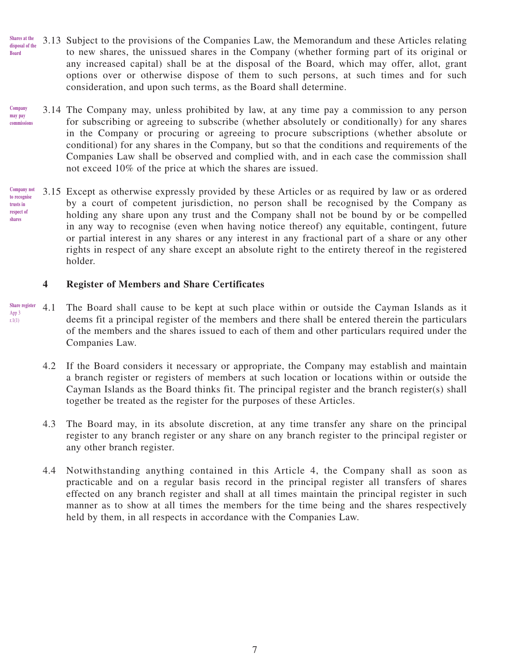- 3.13 Subject to the provisions of the Companies Law, the Memorandum and these Articles relating to new shares, the unissued shares in the Company (whether forming part of its original or any increased capital) shall be at the disposal of the Board, which may offer, allot, grant options over or otherwise dispose of them to such persons, at such times and for such consideration, and upon such terms, as the Board shall determine. **Shares at the disposal of the Board**
- 3.14 The Company may, unless prohibited by law, at any time pay a commission to any person for subscribing or agreeing to subscribe (whether absolutely or conditionally) for any shares in the Company or procuring or agreeing to procure subscriptions (whether absolute or conditional) for any shares in the Company, but so that the conditions and requirements of the Companies Law shall be observed and complied with, and in each case the commission shall not exceed 10% of the price at which the shares are issued. **Company may pay**  commission
- 3.15 Except as otherwise expressly provided by these Articles or as required by law or as ordered by a court of competent jurisdiction, no person shall be recognised by the Company as holding any share upon any trust and the Company shall not be bound by or be compelled in any way to recognise (even when having notice thereof) any equitable, contingent, future or partial interest in any shares or any interest in any fractional part of a share or any other rights in respect of any share except an absolute right to the entirety thereof in the registered holder. **Company not to recognise trusts in respect of shares**

### **4 Register of Members and Share Certificates**

- 4.1 The Board shall cause to be kept at such place within or outside the Cayman Islands as it deems fit a principal register of the members and there shall be entered therein the particulars of the members and the shares issued to each of them and other particulars required under the Companies Law. **Share register** App 3 r.1(1)
	- 4.2 If the Board considers it necessary or appropriate, the Company may establish and maintain a branch register or registers of members at such location or locations within or outside the Cayman Islands as the Board thinks fit. The principal register and the branch register(s) shall together be treated as the register for the purposes of these Articles.
	- 4.3 The Board may, in its absolute discretion, at any time transfer any share on the principal register to any branch register or any share on any branch register to the principal register or any other branch register.
	- 4.4 Notwithstanding anything contained in this Article 4, the Company shall as soon as practicable and on a regular basis record in the principal register all transfers of shares effected on any branch register and shall at all times maintain the principal register in such manner as to show at all times the members for the time being and the shares respectively held by them, in all respects in accordance with the Companies Law.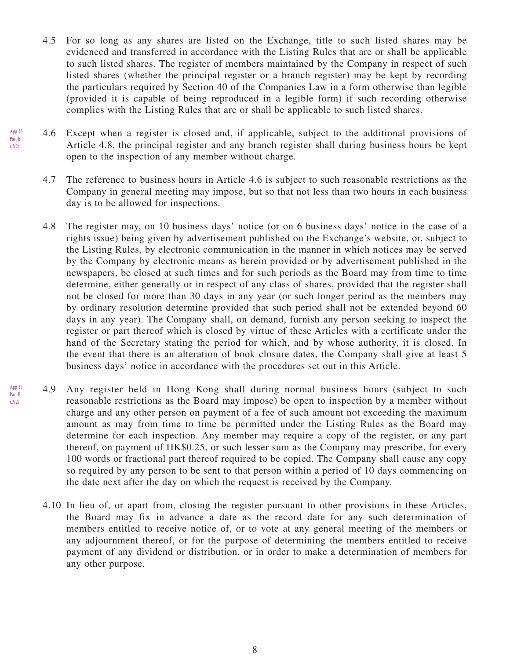- 4.5 For so long as any shares are listed on the Exchange, title to such listed shares may be evidenced and transferred in accordance with the Listing Rules that are or shall be applicable to such listed shares. The register of members maintained by the Company in respect of such listed shares (whether the principal register or a branch register) may be kept by recording the particulars required by Section 40 of the Companies Law in a form otherwise than legible (provided it is capable of being reproduced in a legible form) if such recording otherwise complies with the Listing Rules that are or shall be applicable to such listed shares.
- 4.6 Except when a register is closed and, if applicable, subject to the additional provisions of Article 4.8, the principal register and any branch register shall during business hours be kept open to the inspection of any member without charge.
	- 4.7 The reference to business hours in Article 4.6 is subject to such reasonable restrictions as the Company in general meeting may impose, but so that not less than two hours in each business day is to be allowed for inspections.
	- 4.8 The register may, on 10 business days' notice (or on 6 business days' notice in the case of a rights issue) being given by advertisement published on the Exchange's website, or, subject to the Listing Rules, by electronic communication in the manner in which notices may be served by the Company by electronic means as herein provided or by advertisement published in the newspapers, be closed at such times and for such periods as the Board may from time to time determine, either generally or in respect of any class of shares, provided that the register shall not be closed for more than 30 days in any year (or such longer period as the members may by ordinary resolution determine provided that such period shall not be extended beyond 60 days in any year). The Company shall, on demand, furnish any person seeking to inspect the register or part thereof which is closed by virtue of these Articles with a certificate under the hand of the Secretary stating the period for which, and by whose authority, it is closed. In the event that there is an alteration of book closure dates, the Company shall give at least 5 business days' notice in accordance with the procedures set out in this Article.
- 4.9 Any register held in Hong Kong shall during normal business hours (subject to such reasonable restrictions as the Board may impose) be open to inspection by a member without charge and any other person on payment of a fee of such amount not exceeding the maximum amount as may from time to time be permitted under the Listing Rules as the Board may determine for each inspection. Any member may require a copy of the register, or any part thereof, on payment of HK\$0.25, or such lesser sum as the Company may prescribe, for every 100 words or fractional part thereof required to be copied. The Company shall cause any copy so required by any person to be sent to that person within a period of 10 days commencing on the date next after the day on which the request is received by the Company. r.3(2)
	- 4.10 In lieu of, or apart from, closing the register pursuant to other provisions in these Articles, the Board may fix in advance a date as the record date for any such determination of members entitled to receive notice of, or to vote at any general meeting of the members or any adjournment thereof, or for the purpose of determining the members entitled to receive payment of any dividend or distribution, or in order to make a determination of members for any other purpose.

App 13 Part B r.3(2)

App 13 Part B

8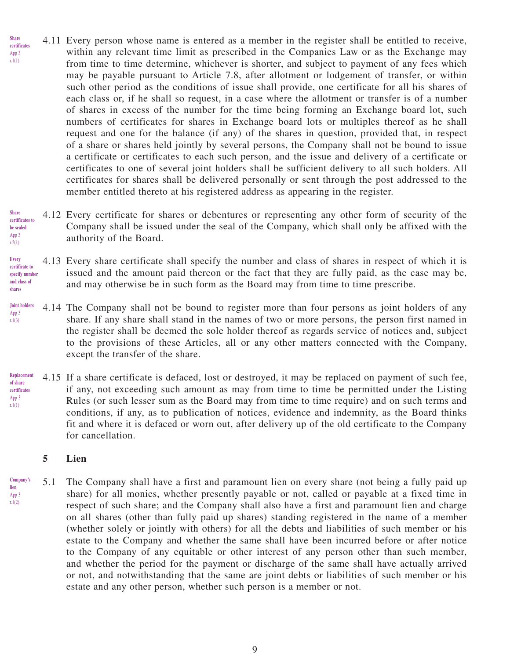- 4.11 Every person whose name is entered as a member in the register shall be entitled to receive, within any relevant time limit as prescribed in the Companies Law or as the Exchange may from time to time determine, whichever is shorter, and subject to payment of any fees which may be payable pursuant to Article 7.8, after allotment or lodgement of transfer, or within such other period as the conditions of issue shall provide, one certificate for all his shares of each class or, if he shall so request, in a case where the allotment or transfer is of a number of shares in excess of the number for the time being forming an Exchange board lot, such numbers of certificates for shares in Exchange board lots or multiples thereof as he shall request and one for the balance (if any) of the shares in question, provided that, in respect of a share or shares held jointly by several persons, the Company shall not be bound to issue a certificate or certificates to each such person, and the issue and delivery of a certificate or certificates to one of several joint holders shall be sufficient delivery to all such holders. All certificates for shares shall be delivered personally or sent through the post addressed to the member entitled thereto at his registered address as appearing in the register. **Share certificates** App 3 r.1(1)
- 4.12 Every certificate for shares or debentures or representing any other form of security of the Company shall be issued under the seal of the Company, which shall only be affixed with the authority of the Board. **Share certificates to be sealed** App 3 r.2(1)

#### 4.13 Every share certificate shall specify the number and class of shares in respect of which it is issued and the amount paid thereon or the fact that they are fully paid, as the case may be, and may otherwise be in such form as the Board may from time to time prescribe. **Every certificate to specify number and class of shares**

- 4.14 The Company shall not be bound to register more than four persons as joint holders of any share. If any share shall stand in the names of two or more persons, the person first named in the register shall be deemed the sole holder thereof as regards service of notices and, subject to the provisions of these Articles, all or any other matters connected with the Company, except the transfer of the share. **Joint holders** App 3 r.1(3)
- 4.15 If a share certificate is defaced, lost or destroyed, it may be replaced on payment of such fee, if any, not exceeding such amount as may from time to time be permitted under the Listing Rules (or such lesser sum as the Board may from time to time require) and on such terms and conditions, if any, as to publication of notices, evidence and indemnity, as the Board thinks fit and where it is defaced or worn out, after delivery up of the old certificate to the Company for cancellation. **Replacement of share certificates** App 3 r.1(1)

### **5 Lien**

5.1 The Company shall have a first and paramount lien on every share (not being a fully paid up share) for all monies, whether presently payable or not, called or payable at a fixed time in respect of such share; and the Company shall also have a first and paramount lien and charge on all shares (other than fully paid up shares) standing registered in the name of a member (whether solely or jointly with others) for all the debts and liabilities of such member or his estate to the Company and whether the same shall have been incurred before or after notice to the Company of any equitable or other interest of any person other than such member, and whether the period for the payment or discharge of the same shall have actually arrived or not, and notwithstanding that the same are joint debts or liabilities of such member or his estate and any other person, whether such person is a member or not. **Company's lien** App 3 r.1(2)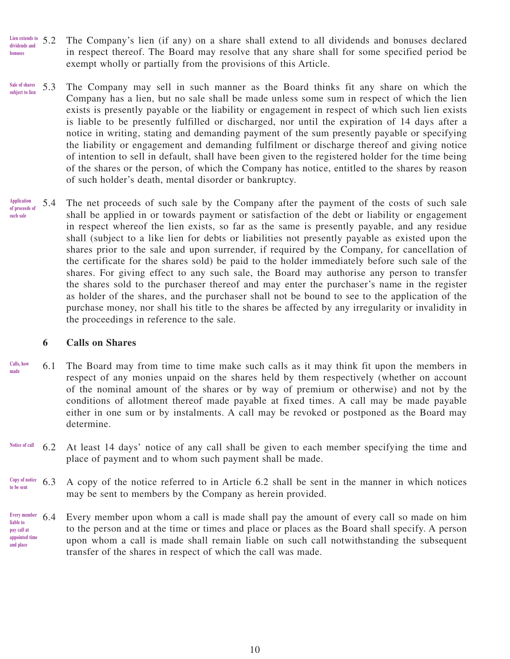- The Company's lien (if any) on a share shall extend to all dividends and bonuses declared in respect thereof. The Board may resolve that any share shall for some specified period be exempt wholly or partially from the provisions of this Article. Lien extends to 5.2 **dividends and bonuses**
- 5.3 The Company may sell in such manner as the Board thinks fit any share on which the Company has a lien, but no sale shall be made unless some sum in respect of which the lien exists is presently payable or the liability or engagement in respect of which such lien exists is liable to be presently fulfilled or discharged, nor until the expiration of 14 days after a notice in writing, stating and demanding payment of the sum presently payable or specifying the liability or engagement and demanding fulfilment or discharge thereof and giving notice of intention to sell in default, shall have been given to the registered holder for the time being of the shares or the person, of which the Company has notice, entitled to the shares by reason of such holder's death, mental disorder or bankruptcy. **Sale of shares subject to lien**
- 5.4 The net proceeds of such sale by the Company after the payment of the costs of such sale shall be applied in or towards payment or satisfaction of the debt or liability or engagement in respect whereof the lien exists, so far as the same is presently payable, and any residue shall (subject to a like lien for debts or liabilities not presently payable as existed upon the shares prior to the sale and upon surrender, if required by the Company, for cancellation of the certificate for the shares sold) be paid to the holder immediately before such sale of the shares. For giving effect to any such sale, the Board may authorise any person to transfer the shares sold to the purchaser thereof and may enter the purchaser's name in the register as holder of the shares, and the purchaser shall not be bound to see to the application of the purchase money, nor shall his title to the shares be affected by any irregularity or invalidity in the proceedings in reference to the sale. **Application of proceeds of such sale**

#### **6 Calls on Shares**

- 6.1 The Board may from time to time make such calls as it may think fit upon the members in respect of any monies unpaid on the shares held by them respectively (whether on account of the nominal amount of the shares or by way of premium or otherwise) and not by the conditions of allotment thereof made payable at fixed times. A call may be made payable either in one sum or by instalments. A call may be revoked or postponed as the Board may determine. **Calls, how made**
- 6.2 At least 14 days' notice of any call shall be given to each member specifying the time and place of payment and to whom such payment shall be made. **Notice of call**
- 6.3 A copy of the notice referred to in Article 6.2 shall be sent in the manner in which notices may be sent to members by the Company as herein provided. **Copy of notice to be sent**
- 6.4 Every member upon whom a call is made shall pay the amount of every call so made on him to the person and at the time or times and place or places as the Board shall specify. A person upon whom a call is made shall remain liable on such call notwithstanding the subsequent transfer of the shares in respect of which the call was made. **Every member liable to pay call at appointed time and place**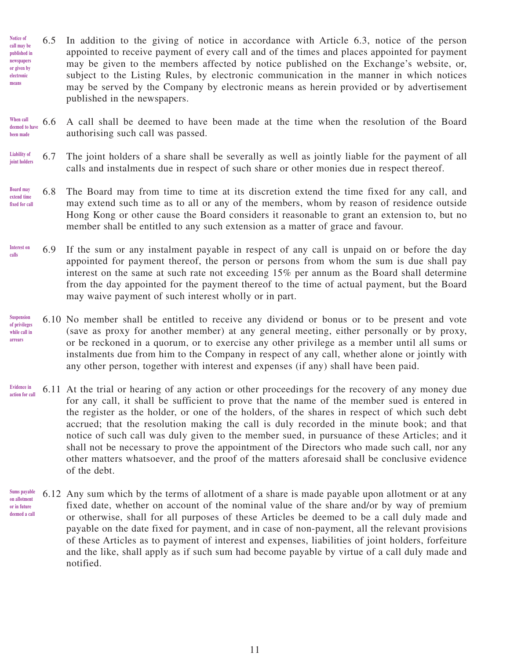- 6.5 In addition to the giving of notice in accordance with Article 6.3, notice of the person appointed to receive payment of every call and of the times and places appointed for payment may be given to the members affected by notice published on the Exchange's website, or, subject to the Listing Rules, by electronic communication in the manner in which notices may be served by the Company by electronic means as herein provided or by advertisement published in the newspapers. **Notice of call may be published in newspapers or given by electronic means**
- 6.6 A call shall be deemed to have been made at the time when the resolution of the Board authorising such call was passed. **When call deemed to have been made**
- 6.7 The joint holders of a share shall be severally as well as jointly liable for the payment of all calls and instalments due in respect of such share or other monies due in respect thereof. **Liability of joint holders**
- 6.8 The Board may from time to time at its discretion extend the time fixed for any call, and may extend such time as to all or any of the members, whom by reason of residence outside Hong Kong or other cause the Board considers it reasonable to grant an extension to, but no member shall be entitled to any such extension as a matter of grace and favour. **Board may extend time fixed for call**
- 6.9 If the sum or any instalment payable in respect of any call is unpaid on or before the day appointed for payment thereof, the person or persons from whom the sum is due shall pay interest on the same at such rate not exceeding 15% per annum as the Board shall determine from the day appointed for the payment thereof to the time of actual payment, but the Board may waive payment of such interest wholly or in part. **Interest on calls**
- 6.10 No member shall be entitled to receive any dividend or bonus or to be present and vote (save as proxy for another member) at any general meeting, either personally or by proxy, or be reckoned in a quorum, or to exercise any other privilege as a member until all sums or instalments due from him to the Company in respect of any call, whether alone or jointly with any other person, together with interest and expenses (if any) shall have been paid. **Suspension of privileges while call in arrears**
- 6.11 At the trial or hearing of any action or other proceedings for the recovery of any money due for any call, it shall be sufficient to prove that the name of the member sued is entered in the register as the holder, or one of the holders, of the shares in respect of which such debt accrued; that the resolution making the call is duly recorded in the minute book; and that notice of such call was duly given to the member sued, in pursuance of these Articles; and it shall not be necessary to prove the appointment of the Directors who made such call, nor any other matters whatsoever, and the proof of the matters aforesaid shall be conclusive evidence of the debt. **Evidence in action for call**
- 6.12 Any sum which by the terms of allotment of a share is made payable upon allotment or at any fixed date, whether on account of the nominal value of the share and/or by way of premium or otherwise, shall for all purposes of these Articles be deemed to be a call duly made and payable on the date fixed for payment, and in case of non-payment, all the relevant provisions of these Articles as to payment of interest and expenses, liabilities of joint holders, forfeiture and the like, shall apply as if such sum had become payable by virtue of a call duly made and notified. **Sums payable on allotment or in future deemed a call**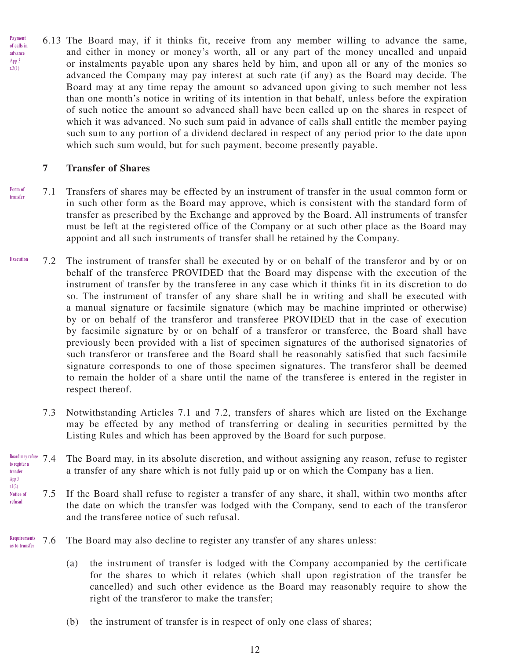6.13 The Board may, if it thinks fit, receive from any member willing to advance the same, and either in money or money's worth, all or any part of the money uncalled and unpaid or instalments payable upon any shares held by him, and upon all or any of the monies so advanced the Company may pay interest at such rate (if any) as the Board may decide. The Board may at any time repay the amount so advanced upon giving to such member not less than one month's notice in writing of its intention in that behalf, unless before the expiration of such notice the amount so advanced shall have been called up on the shares in respect of which it was advanced. No such sum paid in advance of calls shall entitle the member paying such sum to any portion of a dividend declared in respect of any period prior to the date upon which such sum would, but for such payment, become presently payable. **Payment of calls in advance** App 3 r.3(1)

### **7 Transfer of Shares**

r.1(2)

- 7.1 Transfers of shares may be effected by an instrument of transfer in the usual common form or in such other form as the Board may approve, which is consistent with the standard form of transfer as prescribed by the Exchange and approved by the Board. All instruments of transfer must be left at the registered office of the Company or at such other place as the Board may appoint and all such instruments of transfer shall be retained by the Company. **Form of transfer**
- 7.2 The instrument of transfer shall be executed by or on behalf of the transferor and by or on behalf of the transferee PROVIDED that the Board may dispense with the execution of the instrument of transfer by the transferee in any case which it thinks fit in its discretion to do so. The instrument of transfer of any share shall be in writing and shall be executed with a manual signature or facsimile signature (which may be machine imprinted or otherwise) by or on behalf of the transferor and transferee PROVIDED that in the case of execution by facsimile signature by or on behalf of a transferor or transferee, the Board shall have previously been provided with a list of specimen signatures of the authorised signatories of such transferor or transferee and the Board shall be reasonably satisfied that such facsimile signature corresponds to one of those specimen signatures. The transferor shall be deemed to remain the holder of a share until the name of the transferee is entered in the register in respect thereof. **Execution**
	- 7.3 Notwithstanding Articles 7.1 and 7.2, transfers of shares which are listed on the Exchange may be effected by any method of transferring or dealing in securities permitted by the Listing Rules and which has been approved by the Board for such purpose.
- 7.4 The Board may, in its absolute discretion, and without assigning any reason, refuse to register a transfer of any share which is not fully paid up or on which the Company has a lien. **Board may refuse to register a transfer** App 3
- 7.5 If the Board shall refuse to register a transfer of any share, it shall, within two months after the date on which the transfer was lodged with the Company, send to each of the transferor and the transferee notice of such refusal. **Notice of refusal**
- 7.6 The Board may also decline to register any transfer of any shares unless: **Requirements as to transfer**
	- (a) the instrument of transfer is lodged with the Company accompanied by the certificate for the shares to which it relates (which shall upon registration of the transfer be cancelled) and such other evidence as the Board may reasonably require to show the right of the transferor to make the transfer;
	- (b) the instrument of transfer is in respect of only one class of shares;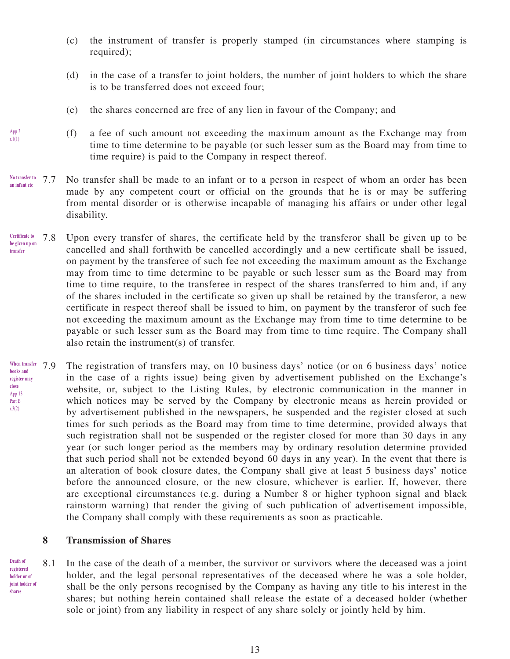- (c) the instrument of transfer is properly stamped (in circumstances where stamping is required);
- (d) in the case of a transfer to joint holders, the number of joint holders to which the share is to be transferred does not exceed four;
- (e) the shares concerned are free of any lien in favour of the Company; and
- (f) a fee of such amount not exceeding the maximum amount as the Exchange may from time to time determine to be payable (or such lesser sum as the Board may from time to time require) is paid to the Company in respect thereof.
- 7.7 No transfer shall be made to an infant or to a person in respect of whom an order has been made by any competent court or official on the grounds that he is or may be suffering from mental disorder or is otherwise incapable of managing his affairs or under other legal disability. **No transfer to an infant etc**
- 7.8 Upon every transfer of shares, the certificate held by the transferor shall be given up to be cancelled and shall forthwith be cancelled accordingly and a new certificate shall be issued, on payment by the transferee of such fee not exceeding the maximum amount as the Exchange may from time to time determine to be payable or such lesser sum as the Board may from time to time require, to the transferee in respect of the shares transferred to him and, if any of the shares included in the certificate so given up shall be retained by the transferor, a new certificate in respect thereof shall be issued to him, on payment by the transferor of such fee not exceeding the maximum amount as the Exchange may from time to time determine to be payable or such lesser sum as the Board may from time to time require. The Company shall also retain the instrument(s) of transfer. **Certificate to be given up on transfer**
- The registration of transfers may, on 10 business days' notice (or on 6 business days' notice in the case of a rights issue) being given by advertisement published on the Exchange's website, or, subject to the Listing Rules, by electronic communication in the manner in which notices may be served by the Company by electronic means as herein provided or by advertisement published in the newspapers, be suspended and the register closed at such times for such periods as the Board may from time to time determine, provided always that such registration shall not be suspended or the register closed for more than 30 days in any year (or such longer period as the members may by ordinary resolution determine provided that such period shall not be extended beyond 60 days in any year). In the event that there is an alteration of book closure dates, the Company shall give at least 5 business days' notice before the announced closure, or the new closure, whichever is earlier. If, however, there are exceptional circumstances (e.g. during a Number 8 or higher typhoon signal and black rainstorm warning) that render the giving of such publication of advertisement impossible, the Company shall comply with these requirements as soon as practicable. When transfer 7<sub>9</sub> **books and register may close** App 13 Part B r.3(2)

### **8 Transmission of Shares**

8.1 In the case of the death of a member, the survivor or survivors where the deceased was a joint holder, and the legal personal representatives of the deceased where he was a sole holder, shall be the only persons recognised by the Company as having any title to his interest in the shares; but nothing herein contained shall release the estate of a deceased holder (whether sole or joint) from any liability in respect of any share solely or jointly held by him. **holder or of joint holder of** 

App 3 r.1(1)

**Death of registered** 

**shares**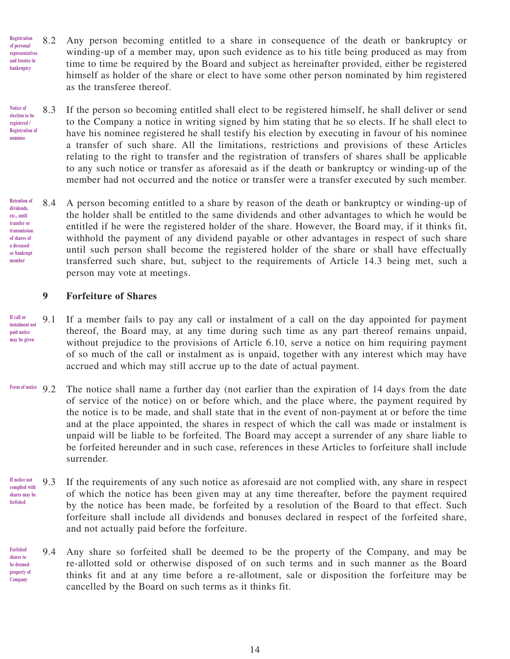- 8.2 Any person becoming entitled to a share in consequence of the death or bankruptcy or winding-up of a member may, upon such evidence as to his title being produced as may from time to time be required by the Board and subject as hereinafter provided, either be registered himself as holder of the share or elect to have some other person nominated by him registered as the transferee thereof. **Registration of personal representatives and trustee in bankruptcy**
- 8.3 If the person so becoming entitled shall elect to be registered himself, he shall deliver or send to the Company a notice in writing signed by him stating that he so elects. If he shall elect to have his nominee registered he shall testify his election by executing in favour of his nominee a transfer of such share. All the limitations, restrictions and provisions of these Articles relating to the right to transfer and the registration of transfers of shares shall be applicable to any such notice or transfer as aforesaid as if the death or bankruptcy or winding-up of the member had not occurred and the notice or transfer were a transfer executed by such member. **Notice of election to be registered / Registration of nominee**

8.4 A person becoming entitled to a share by reason of the death or bankruptcy or winding-up of the holder shall be entitled to the same dividends and other advantages to which he would be entitled if he were the registered holder of the share. However, the Board may, if it thinks fit, withhold the payment of any dividend payable or other advantages in respect of such share until such person shall become the registered holder of the share or shall have effectually transferred such share, but, subject to the requirements of Article 14.3 being met, such a person may vote at meetings. **Retention of dividends, etc., until transfer or transmission of shares of a deceased or bankrupt member**

### **9 Forfeiture of Shares**

- 9.1 If a member fails to pay any call or instalment of a call on the day appointed for payment thereof, the Board may, at any time during such time as any part thereof remains unpaid, without prejudice to the provisions of Article 6.10, serve a notice on him requiring payment of so much of the call or instalment as is unpaid, together with any interest which may have accrued and which may still accrue up to the date of actual payment. **If call or instalment not paid notice may be given**
- 9.2 The notice shall name a further day (not earlier than the expiration of 14 days from the date of service of the notice) on or before which, and the place where, the payment required by the notice is to be made, and shall state that in the event of non-payment at or before the time and at the place appointed, the shares in respect of which the call was made or instalment is unpaid will be liable to be forfeited. The Board may accept a surrender of any share liable to be forfeited hereunder and in such case, references in these Articles to forfeiture shall include surrender. **Form of notice**
- 9.3 If the requirements of any such notice as aforesaid are not complied with, any share in respect of which the notice has been given may at any time thereafter, before the payment required by the notice has been made, be forfeited by a resolution of the Board to that effect. Such forfeiture shall include all dividends and bonuses declared in respect of the forfeited share, and not actually paid before the forfeiture. **If notice not complied with shares may be forfeited**
- 9.4 Any share so forfeited shall be deemed to be the property of the Company, and may be re-allotted sold or otherwise disposed of on such terms and in such manner as the Board thinks fit and at any time before a re-allotment, sale or disposition the forfeiture may be cancelled by the Board on such terms as it thinks fit. **Forfeited shares to be deemed property of Company**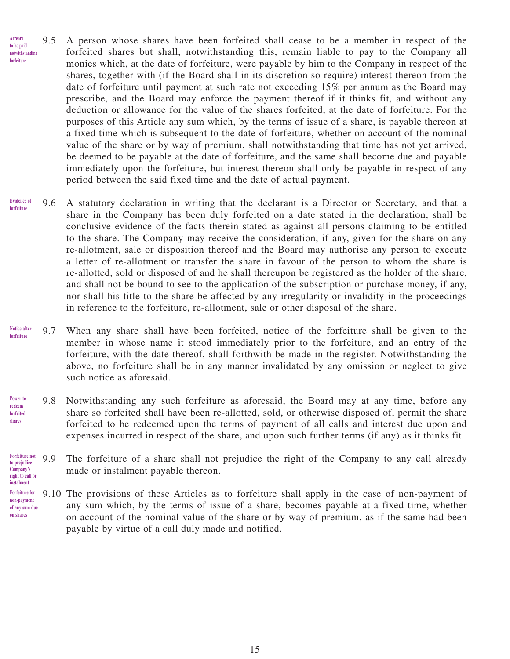- 9.5 A person whose shares have been forfeited shall cease to be a member in respect of the forfeited shares but shall, notwithstanding this, remain liable to pay to the Company all monies which, at the date of forfeiture, were payable by him to the Company in respect of the shares, together with (if the Board shall in its discretion so require) interest thereon from the date of forfeiture until payment at such rate not exceeding 15% per annum as the Board may prescribe, and the Board may enforce the payment thereof if it thinks fit, and without any deduction or allowance for the value of the shares forfeited, at the date of forfeiture. For the purposes of this Article any sum which, by the terms of issue of a share, is payable thereon at a fixed time which is subsequent to the date of forfeiture, whether on account of the nominal value of the share or by way of premium, shall notwithstanding that time has not yet arrived, be deemed to be payable at the date of forfeiture, and the same shall become due and payable immediately upon the forfeiture, but interest thereon shall only be payable in respect of any period between the said fixed time and the date of actual payment. **Arrears to be paid notwithstanding forfeiture**
- 9.6 A statutory declaration in writing that the declarant is a Director or Secretary, and that a share in the Company has been duly forfeited on a date stated in the declaration, shall be conclusive evidence of the facts therein stated as against all persons claiming to be entitled to the share. The Company may receive the consideration, if any, given for the share on any re-allotment, sale or disposition thereof and the Board may authorise any person to execute a letter of re-allotment or transfer the share in favour of the person to whom the share is re-allotted, sold or disposed of and he shall thereupon be registered as the holder of the share, and shall not be bound to see to the application of the subscription or purchase money, if any, nor shall his title to the share be affected by any irregularity or invalidity in the proceedings in reference to the forfeiture, re-allotment, sale or other disposal of the share. **Evidence of forfeiture**
- 9.7 When any share shall have been forfeited, notice of the forfeiture shall be given to the member in whose name it stood immediately prior to the forfeiture, and an entry of the forfeiture, with the date thereof, shall forthwith be made in the register. Notwithstanding the above, no forfeiture shall be in any manner invalidated by any omission or neglect to give such notice as aforesaid. **Notice after forfeiture**
- 9.8 Notwithstanding any such forfeiture as aforesaid, the Board may at any time, before any share so forfeited shall have been re-allotted, sold, or otherwise disposed of, permit the share forfeited to be redeemed upon the terms of payment of all calls and interest due upon and expenses incurred in respect of the share, and upon such further terms (if any) as it thinks fit. **Power to redeem forfeited shares**
- 9.9 The forfeiture of a share shall not prejudice the right of the Company to any call already made or instalment payable thereon. **Forfeiture not to prejudice Company's right to call or**

**instalment**

9.10 The provisions of these Articles as to forfeiture shall apply in the case of non-payment of any sum which, by the terms of issue of a share, becomes payable at a fixed time, whether on account of the nominal value of the share or by way of premium, as if the same had been payable by virtue of a call duly made and notified. **Forfeiture for non-payment of any sum due on shares**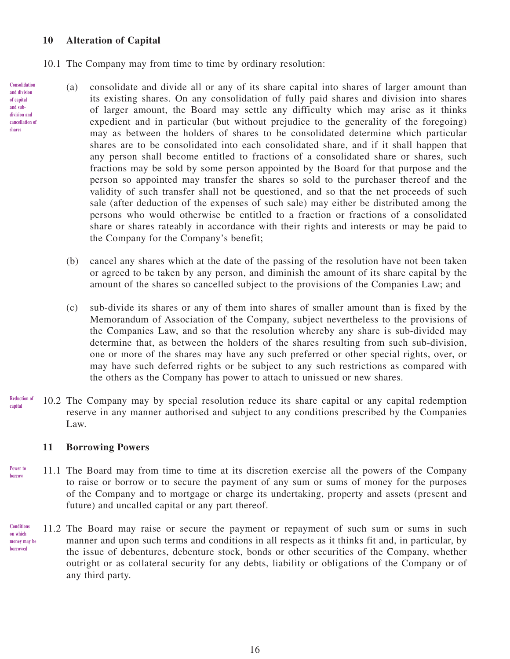### **10 Alteration of Capital**

- 10.1 The Company may from time to time by ordinary resolution:
	- (a) consolidate and divide all or any of its share capital into shares of larger amount than its existing shares. On any consolidation of fully paid shares and division into shares of larger amount, the Board may settle any difficulty which may arise as it thinks expedient and in particular (but without prejudice to the generality of the foregoing) may as between the holders of shares to be consolidated determine which particular shares are to be consolidated into each consolidated share, and if it shall happen that any person shall become entitled to fractions of a consolidated share or shares, such fractions may be sold by some person appointed by the Board for that purpose and the person so appointed may transfer the shares so sold to the purchaser thereof and the validity of such transfer shall not be questioned, and so that the net proceeds of such sale (after deduction of the expenses of such sale) may either be distributed among the persons who would otherwise be entitled to a fraction or fractions of a consolidated share or shares rateably in accordance with their rights and interests or may be paid to the Company for the Company's benefit;
		- (b) cancel any shares which at the date of the passing of the resolution have not been taken or agreed to be taken by any person, and diminish the amount of its share capital by the amount of the shares so cancelled subject to the provisions of the Companies Law; and
		- (c) sub-divide its shares or any of them into shares of smaller amount than is fixed by the Memorandum of Association of the Company, subject nevertheless to the provisions of the Companies Law, and so that the resolution whereby any share is sub-divided may determine that, as between the holders of the shares resulting from such sub-division, one or more of the shares may have any such preferred or other special rights, over, or may have such deferred rights or be subject to any such restrictions as compared with the others as the Company has power to attach to unissued or new shares.
- 10.2 The Company may by special resolution reduce its share capital or any capital redemption reserve in any manner authorised and subject to any conditions prescribed by the Companies Law. **Reduction of capital**

#### **11 Borrowing Powers**

- 11.1 The Board may from time to time at its discretion exercise all the powers of the Company to raise or borrow or to secure the payment of any sum or sums of money for the purposes of the Company and to mortgage or charge its undertaking, property and assets (present and future) and uncalled capital or any part thereof. **Power to borrow**
- 11.2 The Board may raise or secure the payment or repayment of such sum or sums in such manner and upon such terms and conditions in all respects as it thinks fit and, in particular, by the issue of debentures, debenture stock, bonds or other securities of the Company, whether outright or as collateral security for any debts, liability or obligations of the Company or of any third party. **Conditions on which money may be borrowed**

**Consolidation**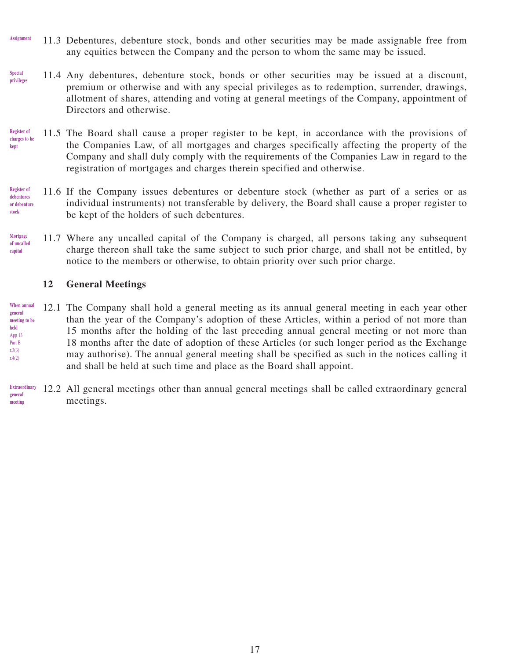- 11.3 Debentures, debenture stock, bonds and other securities may be made assignable free from any equities between the Company and the person to whom the same may be issued. **Assignment**
- 11.4 Any debentures, debenture stock, bonds or other securities may be issued at a discount, premium or otherwise and with any special privileges as to redemption, surrender, drawings, allotment of shares, attending and voting at general meetings of the Company, appointment of Directors and otherwise. **Special privileges**
- 11.5 The Board shall cause a proper register to be kept, in accordance with the provisions of the Companies Law, of all mortgages and charges specifically affecting the property of the Company and shall duly comply with the requirements of the Companies Law in regard to the registration of mortgages and charges therein specified and otherwise. **Register of charges to be kept**
- 11.6 If the Company issues debentures or debenture stock (whether as part of a series or as individual instruments) not transferable by delivery, the Board shall cause a proper register to be kept of the holders of such debentures. **Register of debentures or debenture stock**
- 11.7 Where any uncalled capital of the Company is charged, all persons taking any subsequent charge thereon shall take the same subject to such prior charge, and shall not be entitled, by notice to the members or otherwise, to obtain priority over such prior charge. **Mortgage of uncalled capital**

### **12 General Meetings**

- 12.1 The Company shall hold a general meeting as its annual general meeting in each year other than the year of the Company's adoption of these Articles, within a period of not more than 15 months after the holding of the last preceding annual general meeting or not more than 18 months after the date of adoption of these Articles (or such longer period as the Exchange may authorise). The annual general meeting shall be specified as such in the notices calling it and shall be held at such time and place as the Board shall appoint. **When annual general meeting to be held** App 13 Part B r.3(3) r.4(2)
- 12.2 All general meetings other than annual general meetings shall be called extraordinary general meetings. **Extraordinary general meeting**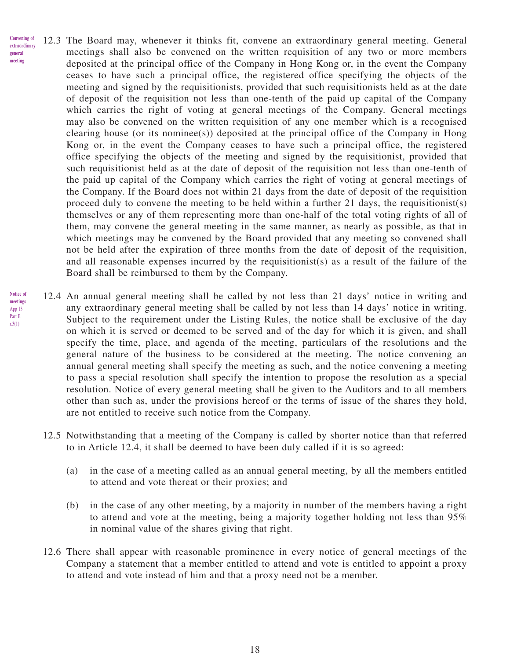- 12.3 The Board may, whenever it thinks fit, convene an extraordinary general meeting. General meetings shall also be convened on the written requisition of any two or more members deposited at the principal office of the Company in Hong Kong or, in the event the Company ceases to have such a principal office, the registered office specifying the objects of the meeting and signed by the requisitionists, provided that such requisitionists held as at the date of deposit of the requisition not less than one-tenth of the paid up capital of the Company which carries the right of voting at general meetings of the Company. General meetings may also be convened on the written requisition of any one member which is a recognised clearing house (or its nominee(s)) deposited at the principal office of the Company in Hong Kong or, in the event the Company ceases to have such a principal office, the registered office specifying the objects of the meeting and signed by the requisitionist, provided that such requisitionist held as at the date of deposit of the requisition not less than one-tenth of the paid up capital of the Company which carries the right of voting at general meetings of the Company. If the Board does not within 21 days from the date of deposit of the requisition proceed duly to convene the meeting to be held within a further 21 days, the requisitionist(s) themselves or any of them representing more than one-half of the total voting rights of all of them, may convene the general meeting in the same manner, as nearly as possible, as that in which meetings may be convened by the Board provided that any meeting so convened shall not be held after the expiration of three months from the date of deposit of the requisition, and all reasonable expenses incurred by the requisitionist(s) as a result of the failure of the Board shall be reimbursed to them by the Company. **Convening of extraordinary general meeting**
- 12.4 An annual general meeting shall be called by not less than 21 days' notice in writing and any extraordinary general meeting shall be called by not less than 14 days' notice in writing. Subject to the requirement under the Listing Rules, the notice shall be exclusive of the day on which it is served or deemed to be served and of the day for which it is given, and shall specify the time, place, and agenda of the meeting, particulars of the resolutions and the general nature of the business to be considered at the meeting. The notice convening an annual general meeting shall specify the meeting as such, and the notice convening a meeting to pass a special resolution shall specify the intention to propose the resolution as a special resolution. Notice of every general meeting shall be given to the Auditors and to all members other than such as, under the provisions hereof or the terms of issue of the shares they hold, are not entitled to receive such notice from the Company. **Notice of meetings** App 13 Part B r.3(1)
	- 12.5 Notwithstanding that a meeting of the Company is called by shorter notice than that referred to in Article 12.4, it shall be deemed to have been duly called if it is so agreed:
		- (a) in the case of a meeting called as an annual general meeting, by all the members entitled to attend and vote thereat or their proxies; and
		- (b) in the case of any other meeting, by a majority in number of the members having a right to attend and vote at the meeting, being a majority together holding not less than 95% in nominal value of the shares giving that right.
	- 12.6 There shall appear with reasonable prominence in every notice of general meetings of the Company a statement that a member entitled to attend and vote is entitled to appoint a proxy to attend and vote instead of him and that a proxy need not be a member.

18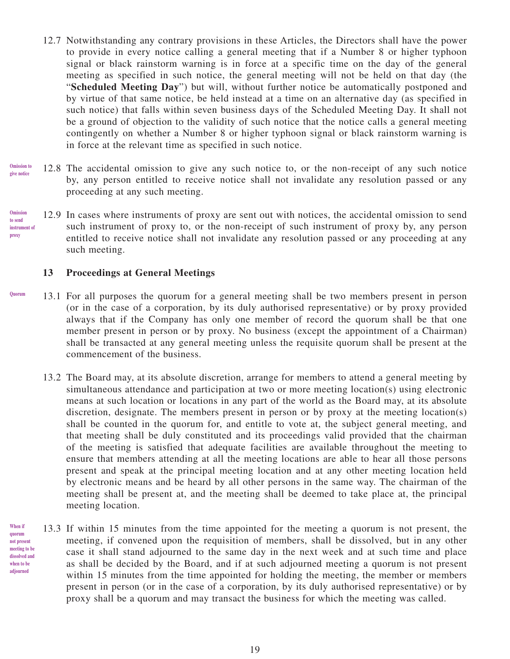- 12.7 Notwithstanding any contrary provisions in these Articles, the Directors shall have the power to provide in every notice calling a general meeting that if a Number 8 or higher typhoon signal or black rainstorm warning is in force at a specific time on the day of the general meeting as specified in such notice, the general meeting will not be held on that day (the "**Scheduled Meeting Day**") but will, without further notice be automatically postponed and by virtue of that same notice, be held instead at a time on an alternative day (as specified in such notice) that falls within seven business days of the Scheduled Meeting Day. It shall not be a ground of objection to the validity of such notice that the notice calls a general meeting contingently on whether a Number 8 or higher typhoon signal or black rainstorm warning is in force at the relevant time as specified in such notice.
- 12.8 The accidental omission to give any such notice to, or the non-receipt of any such notice by, any person entitled to receive notice shall not invalidate any resolution passed or any proceeding at any such meeting. **Omission to give notice**
- 12.9 In cases where instruments of proxy are sent out with notices, the accidental omission to send such instrument of proxy to, or the non-receipt of such instrument of proxy by, any person entitled to receive notice shall not invalidate any resolution passed or any proceeding at any such meeting. **Omission to send instrument of proxy**

### **13 Proceedings at General Meetings**

- 13.1 For all purposes the quorum for a general meeting shall be two members present in person (or in the case of a corporation, by its duly authorised representative) or by proxy provided always that if the Company has only one member of record the quorum shall be that one member present in person or by proxy. No business (except the appointment of a Chairman) shall be transacted at any general meeting unless the requisite quorum shall be present at the commencement of the business. **Quorum**
	- 13.2 The Board may, at its absolute discretion, arrange for members to attend a general meeting by simultaneous attendance and participation at two or more meeting location(s) using electronic means at such location or locations in any part of the world as the Board may, at its absolute discretion, designate. The members present in person or by proxy at the meeting location(s) shall be counted in the quorum for, and entitle to vote at, the subject general meeting, and that meeting shall be duly constituted and its proceedings valid provided that the chairman of the meeting is satisfied that adequate facilities are available throughout the meeting to ensure that members attending at all the meeting locations are able to hear all those persons present and speak at the principal meeting location and at any other meeting location held by electronic means and be heard by all other persons in the same way. The chairman of the meeting shall be present at, and the meeting shall be deemed to take place at, the principal meeting location.
- 13.3 If within 15 minutes from the time appointed for the meeting a quorum is not present, the meeting, if convened upon the requisition of members, shall be dissolved, but in any other case it shall stand adjourned to the same day in the next week and at such time and place as shall be decided by the Board, and if at such adjourned meeting a quorum is not present within 15 minutes from the time appointed for holding the meeting, the member or members present in person (or in the case of a corporation, by its duly authorised representative) or by proxy shall be a quorum and may transact the business for which the meeting was called. **When if quorum not present meeting to be dissolved and when to be adjourned**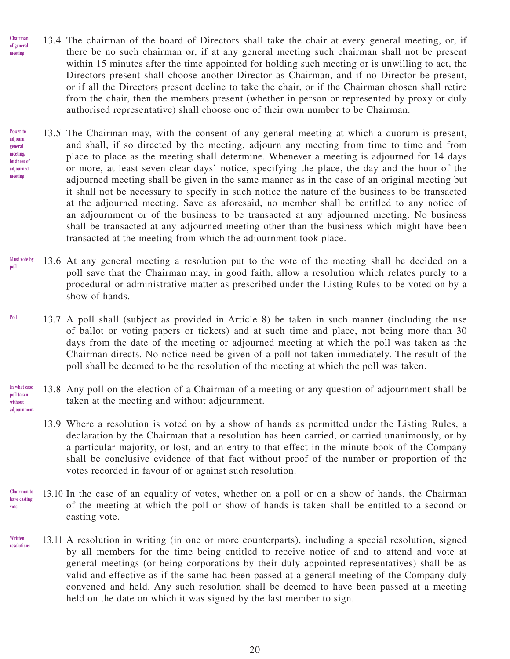- 13.4 The chairman of the board of Directors shall take the chair at every general meeting, or, if there be no such chairman or, if at any general meeting such chairman shall not be present within 15 minutes after the time appointed for holding such meeting or is unwilling to act, the Directors present shall choose another Director as Chairman, and if no Director be present, or if all the Directors present decline to take the chair, or if the Chairman chosen shall retire from the chair, then the members present (whether in person or represented by proxy or duly authorised representative) shall choose one of their own number to be Chairman. **Chairman of general meeting**
- 13.5 The Chairman may, with the consent of any general meeting at which a quorum is present, and shall, if so directed by the meeting, adjourn any meeting from time to time and from place to place as the meeting shall determine. Whenever a meeting is adjourned for 14 days or more, at least seven clear days' notice, specifying the place, the day and the hour of the adjourned meeting shall be given in the same manner as in the case of an original meeting but it shall not be necessary to specify in such notice the nature of the business to be transacted at the adjourned meeting. Save as aforesaid, no member shall be entitled to any notice of an adjournment or of the business to be transacted at any adjourned meeting. No business shall be transacted at any adjourned meeting other than the business which might have been transacted at the meeting from which the adjournment took place. **Power to adjourn general meeting/ business of adjourned meeting**
- 13.6 At any general meeting a resolution put to the vote of the meeting shall be decided on a poll save that the Chairman may, in good faith, allow a resolution which relates purely to a procedural or administrative matter as prescribed under the Listing Rules to be voted on by a show of hands. **Must vote by poll**
- 13.7 A poll shall (subject as provided in Article 8) be taken in such manner (including the use of ballot or voting papers or tickets) and at such time and place, not being more than 30 days from the date of the meeting or adjourned meeting at which the poll was taken as the Chairman directs. No notice need be given of a poll not taken immediately. The result of the poll shall be deemed to be the resolution of the meeting at which the poll was taken. **Poll**
- 13.8 Any poll on the election of a Chairman of a meeting or any question of adjournment shall be taken at the meeting and without adjournment. **In what case poll taken without adjournment**
	- 13.9 Where a resolution is voted on by a show of hands as permitted under the Listing Rules, a declaration by the Chairman that a resolution has been carried, or carried unanimously, or by a particular majority, or lost, and an entry to that effect in the minute book of the Company shall be conclusive evidence of that fact without proof of the number or proportion of the votes recorded in favour of or against such resolution.
- 13.10 In the case of an equality of votes, whether on a poll or on a show of hands, the Chairman of the meeting at which the poll or show of hands is taken shall be entitled to a second or casting vote. **Chairman to have casting vote**
- 13.11 A resolution in writing (in one or more counterparts), including a special resolution, signed by all members for the time being entitled to receive notice of and to attend and vote at general meetings (or being corporations by their duly appointed representatives) shall be as valid and effective as if the same had been passed at a general meeting of the Company duly convened and held. Any such resolution shall be deemed to have been passed at a meeting held on the date on which it was signed by the last member to sign. **Written resolutions**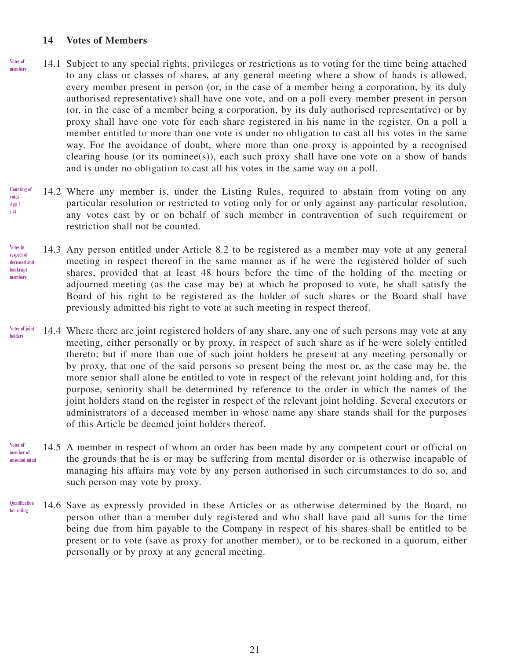#### **14 Votes of Members**

- 14.1 Subject to any special rights, privileges or restrictions as to voting for the time being attached to any class or classes of shares, at any general meeting where a show of hands is allowed, every member present in person (or, in the case of a member being a corporation, by its duly authorised representative) shall have one vote, and on a poll every member present in person (or, in the case of a member being a corporation, by its duly authorised representative) or by proxy shall have one vote for each share registered in his name in the register. On a poll a member entitled to more than one vote is under no obligation to cast all his votes in the same way. For the avoidance of doubt, where more than one proxy is appointed by a recognised clearing house (or its nominee(s)), each such proxy shall have one vote on a show of hands and is under no obligation to cast all his votes in the same way on a poll. **Votes of members**
- 14.2 Where any member is, under the Listing Rules, required to abstain from voting on any particular resolution or restricted to voting only for or only against any particular resolution, any votes cast by or on behalf of such member in contravention of such requirement or restriction shall not be counted. **Counting of votes** App 3 r.14
- 14.3 Any person entitled under Article 8.2 to be registered as a member may vote at any general meeting in respect thereof in the same manner as if he were the registered holder of such shares, provided that at least 48 hours before the time of the holding of the meeting or adjourned meeting (as the case may be) at which he proposed to vote, he shall satisfy the Board of his right to be registered as the holder of such shares or the Board shall have previously admitted his right to vote at such meeting in respect thereof. **Votes in respect of deceased and bankrupt members**
- 14.4 Where there are joint registered holders of any share, any one of such persons may vote at any meeting, either personally or by proxy, in respect of such share as if he were solely entitled thereto; but if more than one of such joint holders be present at any meeting personally or by proxy, that one of the said persons so present being the most or, as the case may be, the more senior shall alone be entitled to vote in respect of the relevant joint holding and, for this purpose, seniority shall be determined by reference to the order in which the names of the joint holders stand on the register in respect of the relevant joint holding. Several executors or administrators of a deceased member in whose name any share stands shall for the purposes of this Article be deemed joint holders thereof. **Votes of joint holders**
- 14.5 A member in respect of whom an order has been made by any competent court or official on the grounds that he is or may be suffering from mental disorder or is otherwise incapable of managing his affairs may vote by any person authorised in such circumstances to do so, and such person may vote by proxy. **Votes of member of unsound mind**
- 14.6 Save as expressly provided in these Articles or as otherwise determined by the Board, no person other than a member duly registered and who shall have paid all sums for the time being due from him payable to the Company in respect of his shares shall be entitled to be present or to vote (save as proxy for another member), or to be reckoned in a quorum, either personally or by proxy at any general meeting. **Qualification for voting**

21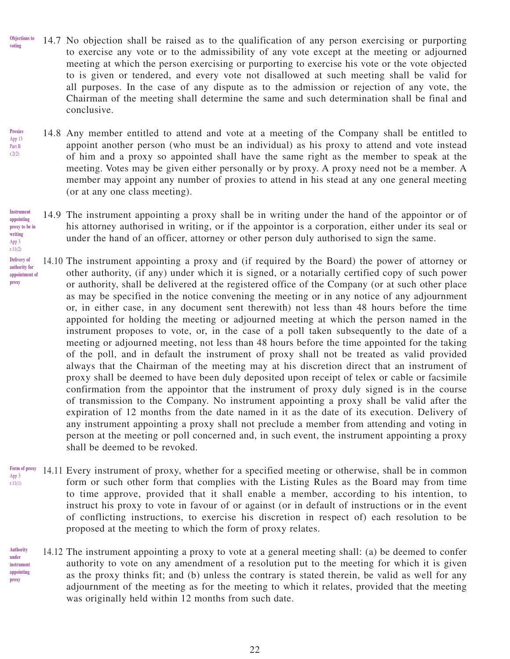- 14.7 No objection shall be raised as to the qualification of any person exercising or purporting to exercise any vote or to the admissibility of any vote except at the meeting or adjourned meeting at which the person exercising or purporting to exercise his vote or the vote objected to is given or tendered, and every vote not disallowed at such meeting shall be valid for all purposes. In the case of any dispute as to the admission or rejection of any vote, the Chairman of the meeting shall determine the same and such determination shall be final and conclusive. **Objections to voting**
- 14.8 Any member entitled to attend and vote at a meeting of the Company shall be entitled to appoint another person (who must be an individual) as his proxy to attend and vote instead of him and a proxy so appointed shall have the same right as the member to speak at the meeting. Votes may be given either personally or by proxy. A proxy need not be a member. A member may appoint any number of proxies to attend in his stead at any one general meeting (or at any one class meeting). **Proxies** App 13 Part B r.2(2)
- 14.9 The instrument appointing a proxy shall be in writing under the hand of the appointor or of his attorney authorised in writing, or if the appointor is a corporation, either under its seal or under the hand of an officer, attorney or other person duly authorised to sign the same. **Instrument** 
	- 14.10 The instrument appointing a proxy and (if required by the Board) the power of attorney or other authority, (if any) under which it is signed, or a notarially certified copy of such power or authority, shall be delivered at the registered office of the Company (or at such other place as may be specified in the notice convening the meeting or in any notice of any adjournment or, in either case, in any document sent therewith) not less than 48 hours before the time appointed for holding the meeting or adjourned meeting at which the person named in the instrument proposes to vote, or, in the case of a poll taken subsequently to the date of a meeting or adjourned meeting, not less than 48 hours before the time appointed for the taking of the poll, and in default the instrument of proxy shall not be treated as valid provided always that the Chairman of the meeting may at his discretion direct that an instrument of proxy shall be deemed to have been duly deposited upon receipt of telex or cable or facsimile confirmation from the appointor that the instrument of proxy duly signed is in the course of transmission to the Company. No instrument appointing a proxy shall be valid after the expiration of 12 months from the date named in it as the date of its execution. Delivery of any instrument appointing a proxy shall not preclude a member from attending and voting in person at the meeting or poll concerned and, in such event, the instrument appointing a proxy shall be deemed to be revoked.
- Form of proxy 14.11 Every instrument of proxy, whether for a specified meeting or otherwise, shall be in common form or such other form that complies with the Listing Rules as the Board may from time to time approve, provided that it shall enable a member, according to his intention, to instruct his proxy to vote in favour of or against (or in default of instructions or in the event of conflicting instructions, to exercise his discretion in respect of) each resolution to be proposed at the meeting to which the form of proxy relates. App 3 r.11(1)
- 14.12 The instrument appointing a proxy to vote at a general meeting shall: (a) be deemed to confer authority to vote on any amendment of a resolution put to the meeting for which it is given as the proxy thinks fit; and (b) unless the contrary is stated therein, be valid as well for any adjournment of the meeting as for the meeting to which it relates, provided that the meeting was originally held within 12 months from such date. **Authority under instrument appointing proxy**

**appointing proxy to be in writing** App 3 r.11(2) **Delivery of authority for** 

**appointment of proxy**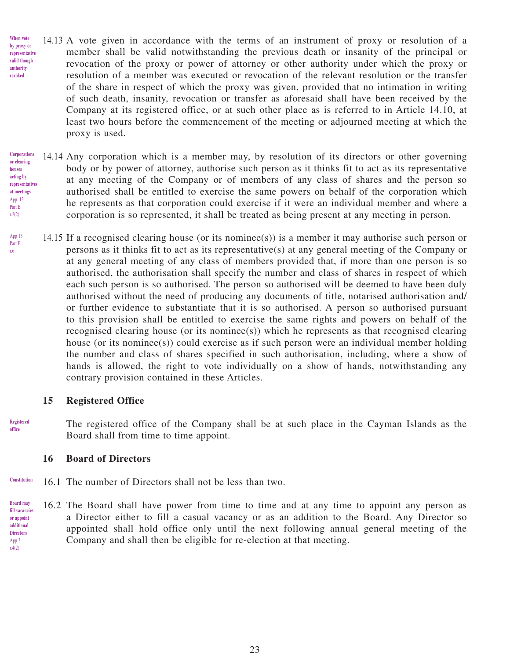- 14.13 A vote given in accordance with the terms of an instrument of proxy or resolution of a member shall be valid notwithstanding the previous death or insanity of the principal or revocation of the proxy or power of attorney or other authority under which the proxy or resolution of a member was executed or revocation of the relevant resolution or the transfer of the share in respect of which the proxy was given, provided that no intimation in writing of such death, insanity, revocation or transfer as aforesaid shall have been received by the Company at its registered office, or at such other place as is referred to in Article 14.10, at least two hours before the commencement of the meeting or adjourned meeting at which the proxy is used. **When vote by proxy or representative valid though authority revoked**
- 14.14 Any corporation which is a member may, by resolution of its directors or other governing body or by power of attorney, authorise such person as it thinks fit to act as its representative at any meeting of the Company or of members of any class of shares and the person so authorised shall be entitled to exercise the same powers on behalf of the corporation which he represents as that corporation could exercise if it were an individual member and where a corporation is so represented, it shall be treated as being present at any meeting in person. **Corporations or clearing houses acting by representatives at meetings** App. 13 Part B  $r2(2)$
- 14.15 If a recognised clearing house (or its nominee(s)) is a member it may authorise such person or persons as it thinks fit to act as its representative(s) at any general meeting of the Company or at any general meeting of any class of members provided that, if more than one person is so authorised, the authorisation shall specify the number and class of shares in respect of which each such person is so authorised. The person so authorised will be deemed to have been duly authorised without the need of producing any documents of title, notarised authorisation and/ or further evidence to substantiate that it is so authorised. A person so authorised pursuant to this provision shall be entitled to exercise the same rights and powers on behalf of the recognised clearing house (or its nominee(s)) which he represents as that recognised clearing house (or its nominee(s)) could exercise as if such person were an individual member holding the number and class of shares specified in such authorisation, including, where a show of hands is allowed, the right to vote individually on a show of hands, notwithstanding any contrary provision contained in these Articles. App 13

### **15 Registered Office**

Part B r.6

**Registered office**

The registered office of the Company shall be at such place in the Cayman Islands as the Board shall from time to time appoint.

#### **16 Board of Directors**

- 16.1 The number of Directors shall not be less than two. **Constitution**
- 16.2 The Board shall have power from time to time and at any time to appoint any person as a Director either to fill a casual vacancy or as an addition to the Board. Any Director so appointed shall hold office only until the next following annual general meeting of the Company and shall then be eligible for re-election at that meeting. **Board may fill vacancies or appoint additional Directors** App 3  $rA(2)$

23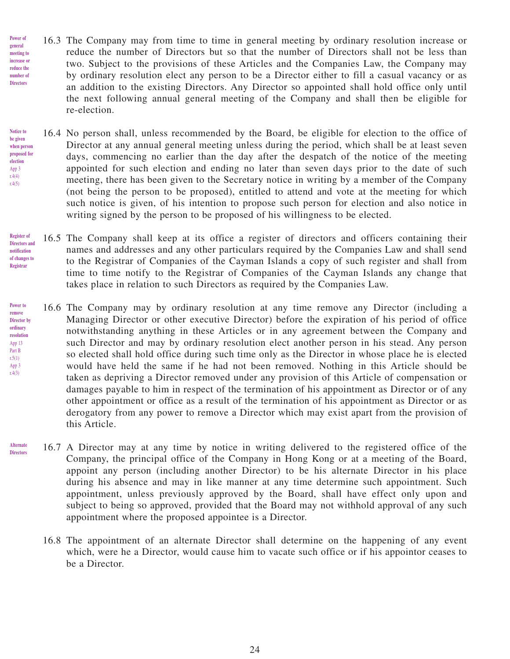- 16.3 The Company may from time to time in general meeting by ordinary resolution increase or reduce the number of Directors but so that the number of Directors shall not be less than two. Subject to the provisions of these Articles and the Companies Law, the Company may by ordinary resolution elect any person to be a Director either to fill a casual vacancy or as an addition to the existing Directors. Any Director so appointed shall hold office only until the next following annual general meeting of the Company and shall then be eligible for re-election. **Power of general meeting to increase or reduce the number of Directors**
- 16.4 No person shall, unless recommended by the Board, be eligible for election to the office of Director at any annual general meeting unless during the period, which shall be at least seven days, commencing no earlier than the day after the despatch of the notice of the meeting appointed for such election and ending no later than seven days prior to the date of such meeting, there has been given to the Secretary notice in writing by a member of the Company (not being the person to be proposed), entitled to attend and vote at the meeting for which such notice is given, of his intention to propose such person for election and also notice in writing signed by the person to be proposed of his willingness to be elected. **Notice to be given when person proposed for election** App 3 r.4(4) r.4(5)
- 16.5 The Company shall keep at its office a register of directors and officers containing their names and addresses and any other particulars required by the Companies Law and shall send to the Registrar of Companies of the Cayman Islands a copy of such register and shall from time to time notify to the Registrar of Companies of the Cayman Islands any change that takes place in relation to such Directors as required by the Companies Law. **Register of Directors and notification of changes to Registrar**
- 16.6 The Company may by ordinary resolution at any time remove any Director (including a Managing Director or other executive Director) before the expiration of his period of office notwithstanding anything in these Articles or in any agreement between the Company and such Director and may by ordinary resolution elect another person in his stead. Any person so elected shall hold office during such time only as the Director in whose place he is elected would have held the same if he had not been removed. Nothing in this Article should be taken as depriving a Director removed under any provision of this Article of compensation or damages payable to him in respect of the termination of his appointment as Director or of any other appointment or office as a result of the termination of his appointment as Director or as derogatory from any power to remove a Director which may exist apart from the provision of this Article. **Power to remove Director by ordinary resolution** App 13 Part B  $r.5(1)$ App 3 r.4(3)
- 16.7 A Director may at any time by notice in writing delivered to the registered office of the Company, the principal office of the Company in Hong Kong or at a meeting of the Board, appoint any person (including another Director) to be his alternate Director in his place during his absence and may in like manner at any time determine such appointment. Such appointment, unless previously approved by the Board, shall have effect only upon and subject to being so approved, provided that the Board may not withhold approval of any such appointment where the proposed appointee is a Director. **Alternate Directors**
	- 16.8 The appointment of an alternate Director shall determine on the happening of any event which, were he a Director, would cause him to vacate such office or if his appointor ceases to be a Director.

24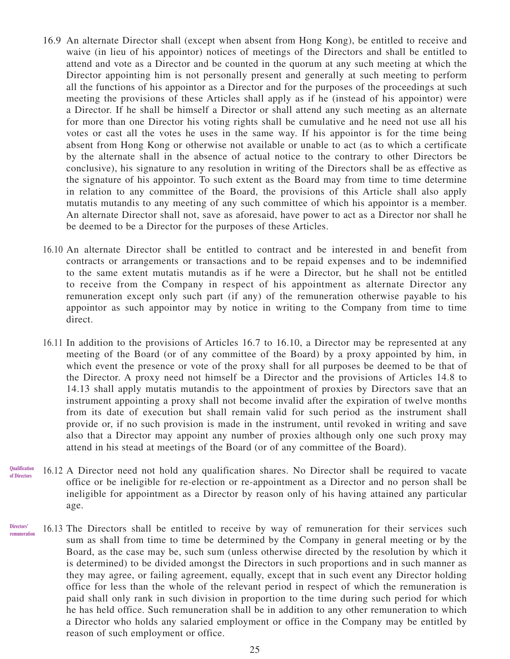- 16.9 An alternate Director shall (except when absent from Hong Kong), be entitled to receive and waive (in lieu of his appointor) notices of meetings of the Directors and shall be entitled to attend and vote as a Director and be counted in the quorum at any such meeting at which the Director appointing him is not personally present and generally at such meeting to perform all the functions of his appointor as a Director and for the purposes of the proceedings at such meeting the provisions of these Articles shall apply as if he (instead of his appointor) were a Director. If he shall be himself a Director or shall attend any such meeting as an alternate for more than one Director his voting rights shall be cumulative and he need not use all his votes or cast all the votes he uses in the same way. If his appointor is for the time being absent from Hong Kong or otherwise not available or unable to act (as to which a certificate by the alternate shall in the absence of actual notice to the contrary to other Directors be conclusive), his signature to any resolution in writing of the Directors shall be as effective as the signature of his appointor. To such extent as the Board may from time to time determine in relation to any committee of the Board, the provisions of this Article shall also apply mutatis mutandis to any meeting of any such committee of which his appointor is a member. An alternate Director shall not, save as aforesaid, have power to act as a Director nor shall he be deemed to be a Director for the purposes of these Articles.
- 16.10 An alternate Director shall be entitled to contract and be interested in and benefit from contracts or arrangements or transactions and to be repaid expenses and to be indemnified to the same extent mutatis mutandis as if he were a Director, but he shall not be entitled to receive from the Company in respect of his appointment as alternate Director any remuneration except only such part (if any) of the remuneration otherwise payable to his appointor as such appointor may by notice in writing to the Company from time to time direct.
- 16.11 In addition to the provisions of Articles 16.7 to 16.10, a Director may be represented at any meeting of the Board (or of any committee of the Board) by a proxy appointed by him, in which event the presence or vote of the proxy shall for all purposes be deemed to be that of the Director. A proxy need not himself be a Director and the provisions of Articles 14.8 to 14.13 shall apply mutatis mutandis to the appointment of proxies by Directors save that an instrument appointing a proxy shall not become invalid after the expiration of twelve months from its date of execution but shall remain valid for such period as the instrument shall provide or, if no such provision is made in the instrument, until revoked in writing and save also that a Director may appoint any number of proxies although only one such proxy may attend in his stead at meetings of the Board (or of any committee of the Board).
- 16.12 A Director need not hold any qualification shares. No Director shall be required to vacate office or be ineligible for re-election or re-appointment as a Director and no person shall be ineligible for appointment as a Director by reason only of his having attained any particular age. **Qualification of Directors**
- 16.13 The Directors shall be entitled to receive by way of remuneration for their services such sum as shall from time to time be determined by the Company in general meeting or by the Board, as the case may be, such sum (unless otherwise directed by the resolution by which it is determined) to be divided amongst the Directors in such proportions and in such manner as they may agree, or failing agreement, equally, except that in such event any Director holding office for less than the whole of the relevant period in respect of which the remuneration is paid shall only rank in such division in proportion to the time during such period for which he has held office. Such remuneration shall be in addition to any other remuneration to which a Director who holds any salaried employment or office in the Company may be entitled by reason of such employment or office. **Directors' remuneration**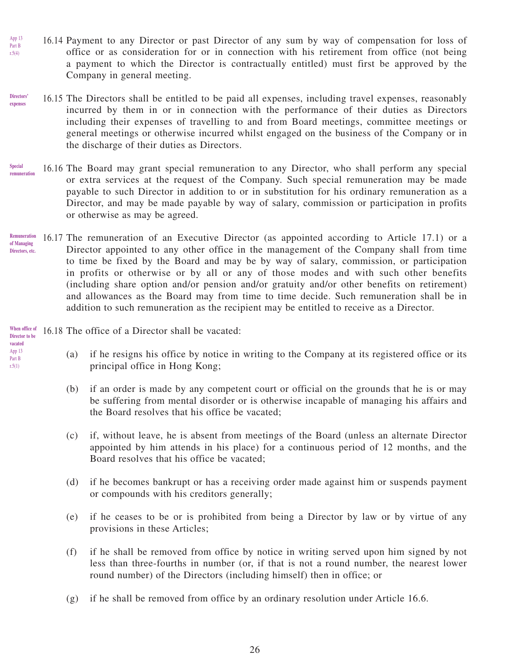- 16.14 Payment to any Director or past Director of any sum by way of compensation for loss of office or as consideration for or in connection with his retirement from office (not being a payment to which the Director is contractually entitled) must first be approved by the Company in general meeting. App 13 Part B r.5(4)
- 16.15 The Directors shall be entitled to be paid all expenses, including travel expenses, reasonably incurred by them in or in connection with the performance of their duties as Directors including their expenses of travelling to and from Board meetings, committee meetings or general meetings or otherwise incurred whilst engaged on the business of the Company or in the discharge of their duties as Directors. **Directors' expenses**
- 16.16 The Board may grant special remuneration to any Director, who shall perform any special or extra services at the request of the Company. Such special remuneration may be made payable to such Director in addition to or in substitution for his ordinary remuneration as a Director, and may be made payable by way of salary, commission or participation in profits or otherwise as may be agreed. **Special remuneration**
- 16.17 The remuneration of an Executive Director (as appointed according to Article 17.1) or a Director appointed to any other office in the management of the Company shall from time to time be fixed by the Board and may be by way of salary, commission, or participation in profits or otherwise or by all or any of those modes and with such other benefits (including share option and/or pension and/or gratuity and/or other benefits on retirement) and allowances as the Board may from time to time decide. Such remuneration shall be in addition to such remuneration as the recipient may be entitled to receive as a Director. **Remuneration of Managing Directors, etc.**

16.18 The office of a Director shall be vacated: **When office of** 

- (a) if he resigns his office by notice in writing to the Company at its registered office or its principal office in Hong Kong;
- (b) if an order is made by any competent court or official on the grounds that he is or may be suffering from mental disorder or is otherwise incapable of managing his affairs and the Board resolves that his office be vacated;
- (c) if, without leave, he is absent from meetings of the Board (unless an alternate Director appointed by him attends in his place) for a continuous period of 12 months, and the Board resolves that his office be vacated;
- (d) if he becomes bankrupt or has a receiving order made against him or suspends payment or compounds with his creditors generally;
- (e) if he ceases to be or is prohibited from being a Director by law or by virtue of any provisions in these Articles;
- (f) if he shall be removed from office by notice in writing served upon him signed by not less than three-fourths in number (or, if that is not a round number, the nearest lower round number) of the Directors (including himself) then in office; or
- (g) if he shall be removed from office by an ordinary resolution under Article 16.6.

26

**Director to be vacated** App 13

Part B r.5(1)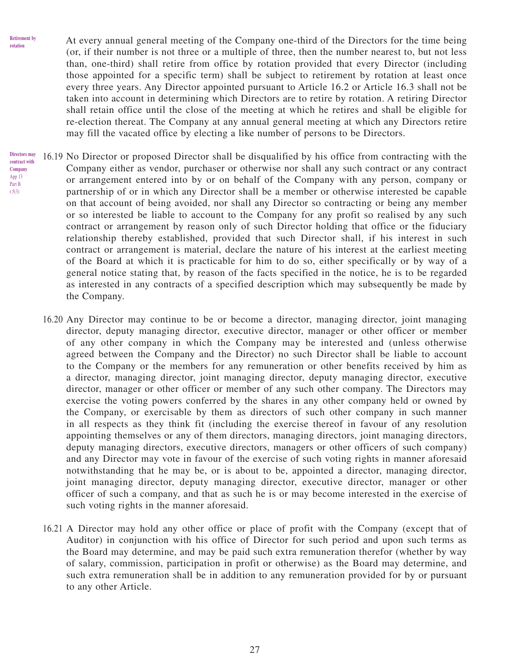**Retirement by rotation**

At every annual general meeting of the Company one-third of the Directors for the time being (or, if their number is not three or a multiple of three, then the number nearest to, but not less than, one-third) shall retire from office by rotation provided that every Director (including those appointed for a specific term) shall be subject to retirement by rotation at least once every three years. Any Director appointed pursuant to Article 16.2 or Article 16.3 shall not be taken into account in determining which Directors are to retire by rotation. A retiring Director shall retain office until the close of the meeting at which he retires and shall be eligible for re-election thereat. The Company at any annual general meeting at which any Directors retire may fill the vacated office by electing a like number of persons to be Directors.

- 16.19 No Director or proposed Director shall be disqualified by his office from contracting with the Company either as vendor, purchaser or otherwise nor shall any such contract or any contract or arrangement entered into by or on behalf of the Company with any person, company or partnership of or in which any Director shall be a member or otherwise interested be capable on that account of being avoided, nor shall any Director so contracting or being any member or so interested be liable to account to the Company for any profit so realised by any such contract or arrangement by reason only of such Director holding that office or the fiduciary relationship thereby established, provided that such Director shall, if his interest in such contract or arrangement is material, declare the nature of his interest at the earliest meeting of the Board at which it is practicable for him to do so, either specifically or by way of a general notice stating that, by reason of the facts specified in the notice, he is to be regarded as interested in any contracts of a specified description which may subsequently be made by the Company. **Directors may contract with Company** App 13 Part B r.5(3)
	- 16.20 Any Director may continue to be or become a director, managing director, joint managing director, deputy managing director, executive director, manager or other officer or member of any other company in which the Company may be interested and (unless otherwise agreed between the Company and the Director) no such Director shall be liable to account to the Company or the members for any remuneration or other benefits received by him as a director, managing director, joint managing director, deputy managing director, executive director, manager or other officer or member of any such other company. The Directors may exercise the voting powers conferred by the shares in any other company held or owned by the Company, or exercisable by them as directors of such other company in such manner in all respects as they think fit (including the exercise thereof in favour of any resolution appointing themselves or any of them directors, managing directors, joint managing directors, deputy managing directors, executive directors, managers or other officers of such company) and any Director may vote in favour of the exercise of such voting rights in manner aforesaid notwithstanding that he may be, or is about to be, appointed a director, managing director, joint managing director, deputy managing director, executive director, manager or other officer of such a company, and that as such he is or may become interested in the exercise of such voting rights in the manner aforesaid.
	- 16.21 A Director may hold any other office or place of profit with the Company (except that of Auditor) in conjunction with his office of Director for such period and upon such terms as the Board may determine, and may be paid such extra remuneration therefor (whether by way of salary, commission, participation in profit or otherwise) as the Board may determine, and such extra remuneration shall be in addition to any remuneration provided for by or pursuant to any other Article.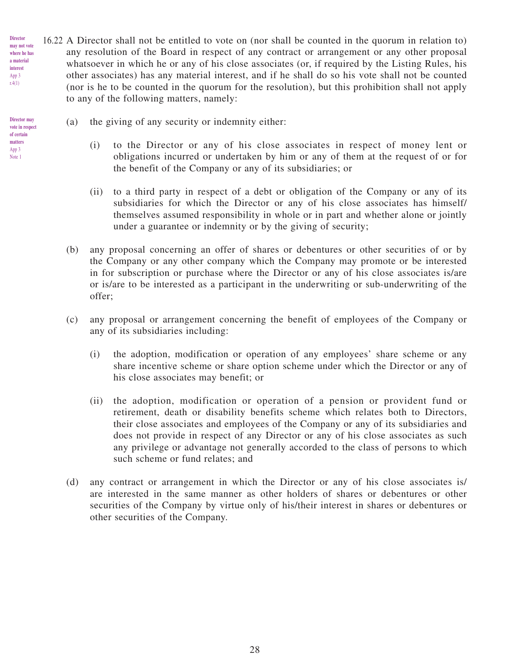- 16.22 A Director shall not be entitled to vote on (nor shall be counted in the quorum in relation to) any resolution of the Board in respect of any contract or arrangement or any other proposal whatsoever in which he or any of his close associates (or, if required by the Listing Rules, his other associates) has any material interest, and if he shall do so his vote shall not be counted (nor is he to be counted in the quorum for the resolution), but this prohibition shall not apply to any of the following matters, namely: **may not vote where he has a material** 
	- (a) the giving of any security or indemnity either:

**Director** 

**interest** App 3 r.4(1)

**Director may vote in respect of certain matters** App 3 Note 1

- (i) to the Director or any of his close associates in respect of money lent or obligations incurred or undertaken by him or any of them at the request of or for the benefit of the Company or any of its subsidiaries; or
- (ii) to a third party in respect of a debt or obligation of the Company or any of its subsidiaries for which the Director or any of his close associates has himself/ themselves assumed responsibility in whole or in part and whether alone or jointly under a guarantee or indemnity or by the giving of security;
- (b) any proposal concerning an offer of shares or debentures or other securities of or by the Company or any other company which the Company may promote or be interested in for subscription or purchase where the Director or any of his close associates is/are or is/are to be interested as a participant in the underwriting or sub-underwriting of the offer;
- (c) any proposal or arrangement concerning the benefit of employees of the Company or any of its subsidiaries including:
	- (i) the adoption, modification or operation of any employees' share scheme or any share incentive scheme or share option scheme under which the Director or any of his close associates may benefit; or
	- (ii) the adoption, modification or operation of a pension or provident fund or retirement, death or disability benefits scheme which relates both to Directors, their close associates and employees of the Company or any of its subsidiaries and does not provide in respect of any Director or any of his close associates as such any privilege or advantage not generally accorded to the class of persons to which such scheme or fund relates; and
- (d) any contract or arrangement in which the Director or any of his close associates is/ are interested in the same manner as other holders of shares or debentures or other securities of the Company by virtue only of his/their interest in shares or debentures or other securities of the Company.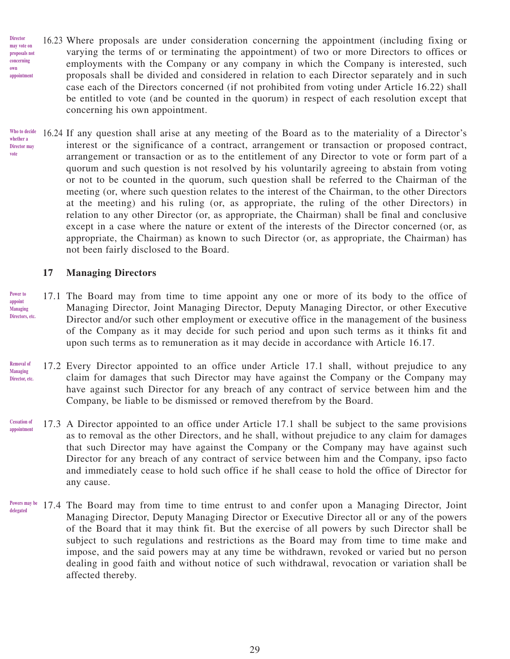- 16.23 Where proposals are under consideration concerning the appointment (including fixing or varying the terms of or terminating the appointment) of two or more Directors to offices or employments with the Company or any company in which the Company is interested, such proposals shall be divided and considered in relation to each Director separately and in such case each of the Directors concerned (if not prohibited from voting under Article 16.22) shall be entitled to vote (and be counted in the quorum) in respect of each resolution except that concerning his own appointment. **may vote on proposals not concerning appointment**
- 16.24 If any question shall arise at any meeting of the Board as to the materiality of a Director's interest or the significance of a contract, arrangement or transaction or proposed contract, arrangement or transaction or as to the entitlement of any Director to vote or form part of a quorum and such question is not resolved by his voluntarily agreeing to abstain from voting or not to be counted in the quorum, such question shall be referred to the Chairman of the meeting (or, where such question relates to the interest of the Chairman, to the other Directors at the meeting) and his ruling (or, as appropriate, the ruling of the other Directors) in relation to any other Director (or, as appropriate, the Chairman) shall be final and conclusive except in a case where the nature or extent of the interests of the Director concerned (or, as appropriate, the Chairman) as known to such Director (or, as appropriate, the Chairman) has not been fairly disclosed to the Board. **Who to decide whether a Director may vote**

### **17 Managing Directors**

**Director** 

**own** 

- 17.1 The Board may from time to time appoint any one or more of its body to the office of Managing Director, Joint Managing Director, Deputy Managing Director, or other Executive Director and/or such other employment or executive office in the management of the business of the Company as it may decide for such period and upon such terms as it thinks fit and upon such terms as to remuneration as it may decide in accordance with Article 16.17. **Power to appoint Managing Directors, etc.**
- 17.2 Every Director appointed to an office under Article 17.1 shall, without prejudice to any claim for damages that such Director may have against the Company or the Company may have against such Director for any breach of any contract of service between him and the Company, be liable to be dismissed or removed therefrom by the Board. **Removal of Managing Director, etc.**
- 17.3 A Director appointed to an office under Article 17.1 shall be subject to the same provisions as to removal as the other Directors, and he shall, without prejudice to any claim for damages that such Director may have against the Company or the Company may have against such Director for any breach of any contract of service between him and the Company, ipso facto and immediately cease to hold such office if he shall cease to hold the office of Director for any cause. **Cessation of appointment**
- Powers may be 17.4 The Board may from time to time entrust to and confer upon a Managing Director, Joint Managing Director, Deputy Managing Director or Executive Director all or any of the powers of the Board that it may think fit. But the exercise of all powers by such Director shall be subject to such regulations and restrictions as the Board may from time to time make and impose, and the said powers may at any time be withdrawn, revoked or varied but no person dealing in good faith and without notice of such withdrawal, revocation or variation shall be affected thereby. **delegated**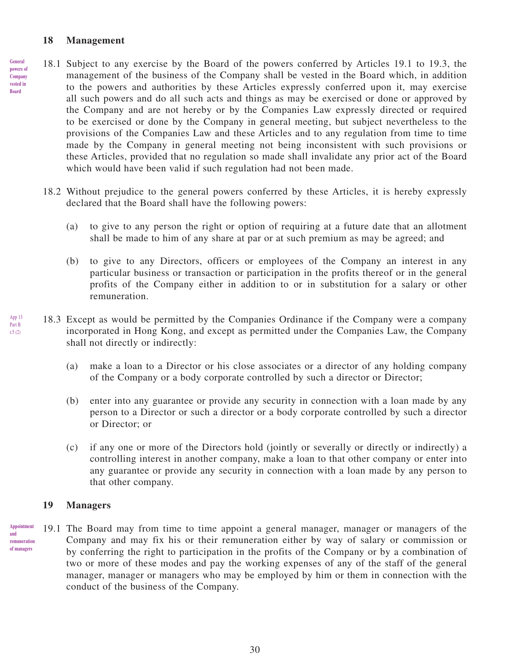#### **18 Management**

- 18.1 Subject to any exercise by the Board of the powers conferred by Articles 19.1 to 19.3, the management of the business of the Company shall be vested in the Board which, in addition to the powers and authorities by these Articles expressly conferred upon it, may exercise all such powers and do all such acts and things as may be exercised or done or approved by the Company and are not hereby or by the Companies Law expressly directed or required to be exercised or done by the Company in general meeting, but subject nevertheless to the provisions of the Companies Law and these Articles and to any regulation from time to time made by the Company in general meeting not being inconsistent with such provisions or these Articles, provided that no regulation so made shall invalidate any prior act of the Board which would have been valid if such regulation had not been made. **General powers of Company vested in Board**
	- 18.2 Without prejudice to the general powers conferred by these Articles, it is hereby expressly declared that the Board shall have the following powers:
		- (a) to give to any person the right or option of requiring at a future date that an allotment shall be made to him of any share at par or at such premium as may be agreed; and
		- (b) to give to any Directors, officers or employees of the Company an interest in any particular business or transaction or participation in the profits thereof or in the general profits of the Company either in addition to or in substitution for a salary or other remuneration.
- 18.3 Except as would be permitted by the Companies Ordinance if the Company were a company incorporated in Hong Kong, and except as permitted under the Companies Law, the Company shall not directly or indirectly: App 13 Part B r.5 (2)
	- (a) make a loan to a Director or his close associates or a director of any holding company of the Company or a body corporate controlled by such a director or Director;
	- (b) enter into any guarantee or provide any security in connection with a loan made by any person to a Director or such a director or a body corporate controlled by such a director or Director; or
	- (c) if any one or more of the Directors hold (jointly or severally or directly or indirectly) a controlling interest in another company, make a loan to that other company or enter into any guarantee or provide any security in connection with a loan made by any person to that other company.

#### **19 Managers**

19.1 The Board may from time to time appoint a general manager, manager or managers of the Company and may fix his or their remuneration either by way of salary or commission or by conferring the right to participation in the profits of the Company or by a combination of two or more of these modes and pay the working expenses of any of the staff of the general manager, manager or managers who may be employed by him or them in connection with the conduct of the business of the Company. **Appointment and remuneration of managers**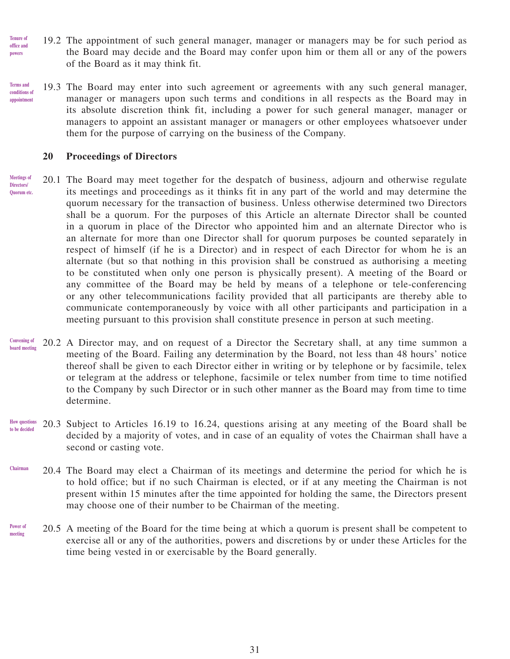- 19.2 The appointment of such general manager, manager or managers may be for such period as the Board may decide and the Board may confer upon him or them all or any of the powers of the Board as it may think fit. **Tenure of office and powers**
- 19.3 The Board may enter into such agreement or agreements with any such general manager, manager or managers upon such terms and conditions in all respects as the Board may in its absolute discretion think fit, including a power for such general manager, manager or managers to appoint an assistant manager or managers or other employees whatsoever under them for the purpose of carrying on the business of the Company. **Terms and conditions of appointment**

#### **20 Proceedings of Directors**

- 20.1 The Board may meet together for the despatch of business, adjourn and otherwise regulate its meetings and proceedings as it thinks fit in any part of the world and may determine the quorum necessary for the transaction of business. Unless otherwise determined two Directors shall be a quorum. For the purposes of this Article an alternate Director shall be counted in a quorum in place of the Director who appointed him and an alternate Director who is an alternate for more than one Director shall for quorum purposes be counted separately in respect of himself (if he is a Director) and in respect of each Director for whom he is an alternate (but so that nothing in this provision shall be construed as authorising a meeting to be constituted when only one person is physically present). A meeting of the Board or any committee of the Board may be held by means of a telephone or tele-conferencing or any other telecommunications facility provided that all participants are thereby able to communicate contemporaneously by voice with all other participants and participation in a meeting pursuant to this provision shall constitute presence in person at such meeting. **Meetings of Directors/ Quorum etc.**
- 20.2 A Director may, and on request of a Director the Secretary shall, at any time summon a meeting of the Board. Failing any determination by the Board, not less than 48 hours' notice thereof shall be given to each Director either in writing or by telephone or by facsimile, telex or telegram at the address or telephone, facsimile or telex number from time to time notified to the Company by such Director or in such other manner as the Board may from time to time determine. **Convening of board meeting**
- 20.3 Subject to Articles 16.19 to 16.24, questions arising at any meeting of the Board shall be decided by a majority of votes, and in case of an equality of votes the Chairman shall have a second or casting vote. **How questions to be decided**
- 20.4 The Board may elect a Chairman of its meetings and determine the period for which he is to hold office; but if no such Chairman is elected, or if at any meeting the Chairman is not present within 15 minutes after the time appointed for holding the same, the Directors present may choose one of their number to be Chairman of the meeting. **Chairman**
- 20.5 A meeting of the Board for the time being at which a quorum is present shall be competent to exercise all or any of the authorities, powers and discretions by or under these Articles for the time being vested in or exercisable by the Board generally. **Power of meeting**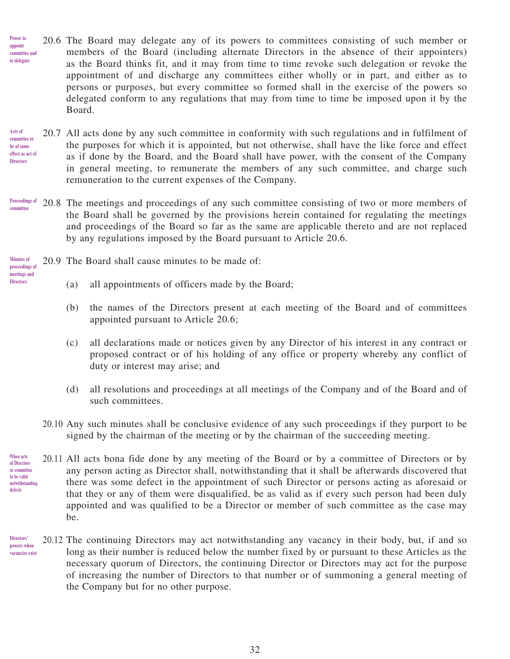20.6 The Board may delegate any of its powers to committees consisting of such member or members of the Board (including alternate Directors in the absence of their appointers) as the Board thinks fit, and it may from time to time revoke such delegation or revoke the appointment of and discharge any committees either wholly or in part, and either as to persons or purposes, but every committee so formed shall in the exercise of the powers so delegated conform to any regulations that may from time to time be imposed upon it by the Board. **Power to appoint committee and to delegate**

#### 20.7 All acts done by any such committee in conformity with such regulations and in fulfilment of the purposes for which it is appointed, but not otherwise, shall have the like force and effect as if done by the Board, and the Board shall have power, with the consent of the Company in general meeting, to remunerate the members of any such committee, and charge such remuneration to the current expenses of the Company. **Acts of committee to be of same effect as act of Directors**

- 20.8 The meetings and proceedings of any such committee consisting of two or more members of the Board shall be governed by the provisions herein contained for regulating the meetings and proceedings of the Board so far as the same are applicable thereto and are not replaced by any regulations imposed by the Board pursuant to Article 20.6. **Proceedings of committee**
- **Minutes of proceedings of** 
	- 20.9 The Board shall cause minutes to be made of:
- **meetings and Directors**

**defects**

- (a) all appointments of officers made by the Board;
- (b) the names of the Directors present at each meeting of the Board and of committees appointed pursuant to Article 20.6;
- (c) all declarations made or notices given by any Director of his interest in any contract or proposed contract or of his holding of any office or property whereby any conflict of duty or interest may arise; and
- (d) all resolutions and proceedings at all meetings of the Company and of the Board and of such committees.
- 20.10 Any such minutes shall be conclusive evidence of any such proceedings if they purport to be signed by the chairman of the meeting or by the chairman of the succeeding meeting.
- 20.11 All acts bona fide done by any meeting of the Board or by a committee of Directors or by any person acting as Director shall, notwithstanding that it shall be afterwards discovered that there was some defect in the appointment of such Director or persons acting as aforesaid or that they or any of them were disqualified, be as valid as if every such person had been duly appointed and was qualified to be a Director or member of such committee as the case may be. **When acts of Directors or committee to be valid notwithstanding**
- 20.12 The continuing Directors may act notwithstanding any vacancy in their body, but, if and so long as their number is reduced below the number fixed by or pursuant to these Articles as the necessary quorum of Directors, the continuing Director or Directors may act for the purpose of increasing the number of Directors to that number or of summoning a general meeting of the Company but for no other purpose. **Directors' powers when vacancies exist**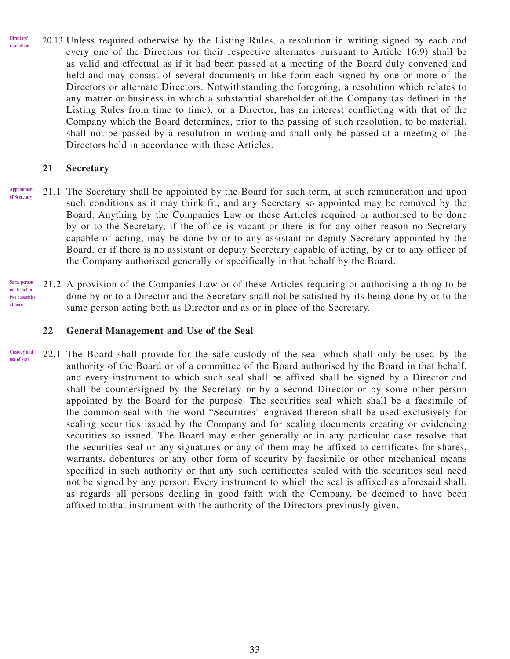20.13 Unless required otherwise by the Listing Rules, a resolution in writing signed by each and every one of the Directors (or their respective alternates pursuant to Article 16.9) shall be as valid and effectual as if it had been passed at a meeting of the Board duly convened and held and may consist of several documents in like form each signed by one or more of the Directors or alternate Directors. Notwithstanding the foregoing, a resolution which relates to any matter or business in which a substantial shareholder of the Company (as defined in the Listing Rules from time to time), or a Director, has an interest conflicting with that of the Company which the Board determines, prior to the passing of such resolution, to be material, shall not be passed by a resolution in writing and shall only be passed at a meeting of the Directors held in accordance with these Articles. **Directors' resolutions**

### **21 Secretary**

- 21.1 The Secretary shall be appointed by the Board for such term, at such remuneration and upon such conditions as it may think fit, and any Secretary so appointed may be removed by the Board. Anything by the Companies Law or these Articles required or authorised to be done by or to the Secretary, if the office is vacant or there is for any other reason no Secretary capable of acting, may be done by or to any assistant or deputy Secretary appointed by the Board, or if there is no assistant or deputy Secretary capable of acting, by or to any officer of the Company authorised generally or specifically in that behalf by the Board. **Appointment of Secretary**
- 21.2 A provision of the Companies Law or of these Articles requiring or authorising a thing to be done by or to a Director and the Secretary shall not be satisfied by its being done by or to the same person acting both as Director and as or in place of the Secretary. **Same person not to act in two capacities at once**

### **22 General Management and Use of the Seal**

22.1 The Board shall provide for the safe custody of the seal which shall only be used by the authority of the Board or of a committee of the Board authorised by the Board in that behalf, and every instrument to which such seal shall be affixed shall be signed by a Director and shall be countersigned by the Secretary or by a second Director or by some other person appointed by the Board for the purpose. The securities seal which shall be a facsimile of the common seal with the word "Securities" engraved thereon shall be used exclusively for sealing securities issued by the Company and for sealing documents creating or evidencing securities so issued. The Board may either generally or in any particular case resolve that the securities seal or any signatures or any of them may be affixed to certificates for shares, warrants, debentures or any other form of security by facsimile or other mechanical means specified in such authority or that any such certificates sealed with the securities seal need not be signed by any person. Every instrument to which the seal is affixed as aforesaid shall, as regards all persons dealing in good faith with the Company, be deemed to have been affixed to that instrument with the authority of the Directors previously given. **Custody and use of seal**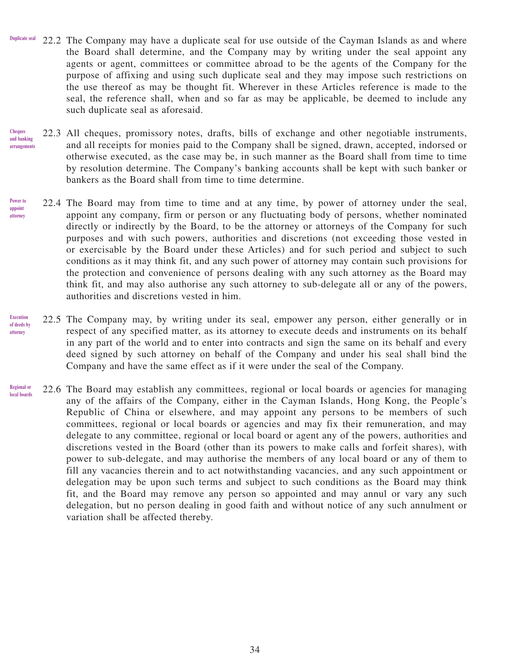- 22.2 The Company may have a duplicate seal for use outside of the Cayman Islands as and where the Board shall determine, and the Company may by writing under the seal appoint any agents or agent, committees or committee abroad to be the agents of the Company for the purpose of affixing and using such duplicate seal and they may impose such restrictions on the use thereof as may be thought fit. Wherever in these Articles reference is made to the seal, the reference shall, when and so far as may be applicable, be deemed to include any such duplicate seal as aforesaid. **Duplicate seal**
- 22.3 All cheques, promissory notes, drafts, bills of exchange and other negotiable instruments, and all receipts for monies paid to the Company shall be signed, drawn, accepted, indorsed or otherwise executed, as the case may be, in such manner as the Board shall from time to time by resolution determine. The Company's banking accounts shall be kept with such banker or bankers as the Board shall from time to time determine. **Cheques and banking arrangements**
- 22.4 The Board may from time to time and at any time, by power of attorney under the seal, appoint any company, firm or person or any fluctuating body of persons, whether nominated directly or indirectly by the Board, to be the attorney or attorneys of the Company for such purposes and with such powers, authorities and discretions (not exceeding those vested in or exercisable by the Board under these Articles) and for such period and subject to such conditions as it may think fit, and any such power of attorney may contain such provisions for the protection and convenience of persons dealing with any such attorney as the Board may think fit, and may also authorise any such attorney to sub-delegate all or any of the powers, authorities and discretions vested in him. **Power to appoint attorney**
- 22.5 The Company may, by writing under its seal, empower any person, either generally or in respect of any specified matter, as its attorney to execute deeds and instruments on its behalf in any part of the world and to enter into contracts and sign the same on its behalf and every deed signed by such attorney on behalf of the Company and under his seal shall bind the Company and have the same effect as if it were under the seal of the Company. **Execution of deeds by attorney**
- 22.6 The Board may establish any committees, regional or local boards or agencies for managing any of the affairs of the Company, either in the Cayman Islands, Hong Kong, the People's Republic of China or elsewhere, and may appoint any persons to be members of such committees, regional or local boards or agencies and may fix their remuneration, and may delegate to any committee, regional or local board or agent any of the powers, authorities and discretions vested in the Board (other than its powers to make calls and forfeit shares), with power to sub-delegate, and may authorise the members of any local board or any of them to fill any vacancies therein and to act notwithstanding vacancies, and any such appointment or delegation may be upon such terms and subject to such conditions as the Board may think fit, and the Board may remove any person so appointed and may annul or vary any such delegation, but no person dealing in good faith and without notice of any such annulment or variation shall be affected thereby. **Regional or local boards**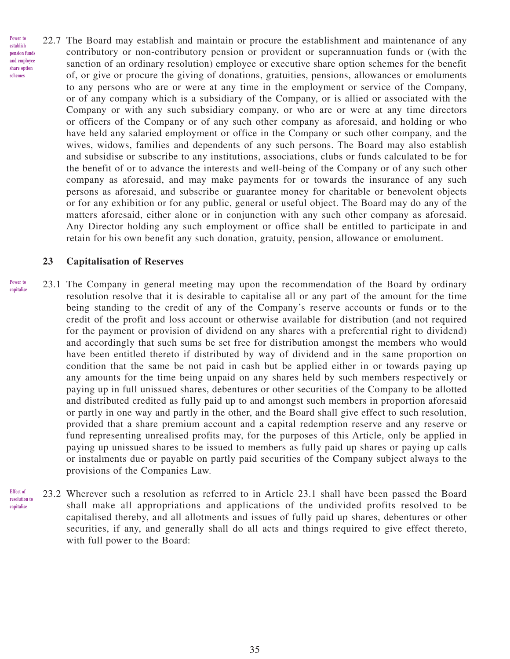22.7 The Board may establish and maintain or procure the establishment and maintenance of any contributory or non-contributory pension or provident or superannuation funds or (with the sanction of an ordinary resolution) employee or executive share option schemes for the benefit of, or give or procure the giving of donations, gratuities, pensions, allowances or emoluments to any persons who are or were at any time in the employment or service of the Company, or of any company which is a subsidiary of the Company, or is allied or associated with the Company or with any such subsidiary company, or who are or were at any time directors or officers of the Company or of any such other company as aforesaid, and holding or who have held any salaried employment or office in the Company or such other company, and the wives, widows, families and dependents of any such persons. The Board may also establish and subsidise or subscribe to any institutions, associations, clubs or funds calculated to be for the benefit of or to advance the interests and well-being of the Company or of any such other company as aforesaid, and may make payments for or towards the insurance of any such persons as aforesaid, and subscribe or guarantee money for charitable or benevolent objects or for any exhibition or for any public, general or useful object. The Board may do any of the matters aforesaid, either alone or in conjunction with any such other company as aforesaid. Any Director holding any such employment or office shall be entitled to participate in and retain for his own benefit any such donation, gratuity, pension, allowance or emolument. **Power to establish pension funds and employee share option schemes**

### **23 Capitalisation of Reserves**

- 23.1 The Company in general meeting may upon the recommendation of the Board by ordinary resolution resolve that it is desirable to capitalise all or any part of the amount for the time being standing to the credit of any of the Company's reserve accounts or funds or to the credit of the profit and loss account or otherwise available for distribution (and not required for the payment or provision of dividend on any shares with a preferential right to dividend) and accordingly that such sums be set free for distribution amongst the members who would have been entitled thereto if distributed by way of dividend and in the same proportion on condition that the same be not paid in cash but be applied either in or towards paying up any amounts for the time being unpaid on any shares held by such members respectively or paying up in full unissued shares, debentures or other securities of the Company to be allotted and distributed credited as fully paid up to and amongst such members in proportion aforesaid or partly in one way and partly in the other, and the Board shall give effect to such resolution, provided that a share premium account and a capital redemption reserve and any reserve or fund representing unrealised profits may, for the purposes of this Article, only be applied in paying up unissued shares to be issued to members as fully paid up shares or paying up calls or instalments due or payable on partly paid securities of the Company subject always to the provisions of the Companies Law. **Power to capitalise**
- 23.2 Wherever such a resolution as referred to in Article 23.1 shall have been passed the Board shall make all appropriations and applications of the undivided profits resolved to be capitalised thereby, and all allotments and issues of fully paid up shares, debentures or other securities, if any, and generally shall do all acts and things required to give effect thereto, with full power to the Board: **Effect of resolution to capitalise**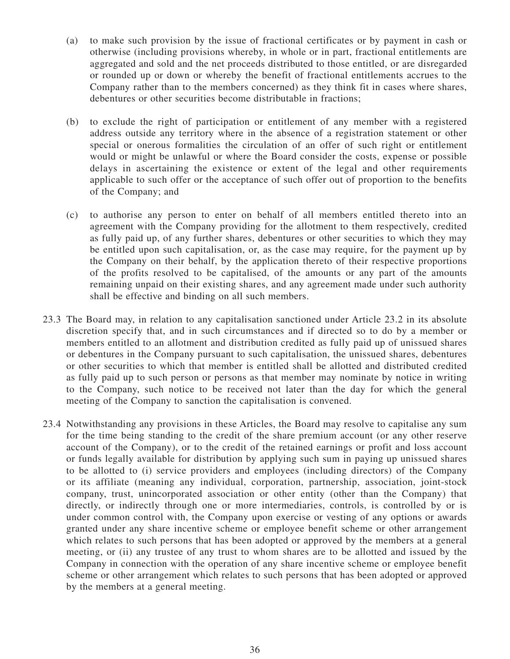- (a) to make such provision by the issue of fractional certificates or by payment in cash or otherwise (including provisions whereby, in whole or in part, fractional entitlements are aggregated and sold and the net proceeds distributed to those entitled, or are disregarded or rounded up or down or whereby the benefit of fractional entitlements accrues to the Company rather than to the members concerned) as they think fit in cases where shares, debentures or other securities become distributable in fractions;
- (b) to exclude the right of participation or entitlement of any member with a registered address outside any territory where in the absence of a registration statement or other special or onerous formalities the circulation of an offer of such right or entitlement would or might be unlawful or where the Board consider the costs, expense or possible delays in ascertaining the existence or extent of the legal and other requirements applicable to such offer or the acceptance of such offer out of proportion to the benefits of the Company; and
- (c) to authorise any person to enter on behalf of all members entitled thereto into an agreement with the Company providing for the allotment to them respectively, credited as fully paid up, of any further shares, debentures or other securities to which they may be entitled upon such capitalisation, or, as the case may require, for the payment up by the Company on their behalf, by the application thereto of their respective proportions of the profits resolved to be capitalised, of the amounts or any part of the amounts remaining unpaid on their existing shares, and any agreement made under such authority shall be effective and binding on all such members.
- 23.3 The Board may, in relation to any capitalisation sanctioned under Article 23.2 in its absolute discretion specify that, and in such circumstances and if directed so to do by a member or members entitled to an allotment and distribution credited as fully paid up of unissued shares or debentures in the Company pursuant to such capitalisation, the unissued shares, debentures or other securities to which that member is entitled shall be allotted and distributed credited as fully paid up to such person or persons as that member may nominate by notice in writing to the Company, such notice to be received not later than the day for which the general meeting of the Company to sanction the capitalisation is convened.
- 23.4 Notwithstanding any provisions in these Articles, the Board may resolve to capitalise any sum for the time being standing to the credit of the share premium account (or any other reserve account of the Company), or to the credit of the retained earnings or profit and loss account or funds legally available for distribution by applying such sum in paying up unissued shares to be allotted to (i) service providers and employees (including directors) of the Company or its affiliate (meaning any individual, corporation, partnership, association, joint-stock company, trust, unincorporated association or other entity (other than the Company) that directly, or indirectly through one or more intermediaries, controls, is controlled by or is under common control with, the Company upon exercise or vesting of any options or awards granted under any share incentive scheme or employee benefit scheme or other arrangement which relates to such persons that has been adopted or approved by the members at a general meeting, or (ii) any trustee of any trust to whom shares are to be allotted and issued by the Company in connection with the operation of any share incentive scheme or employee benefit scheme or other arrangement which relates to such persons that has been adopted or approved by the members at a general meeting.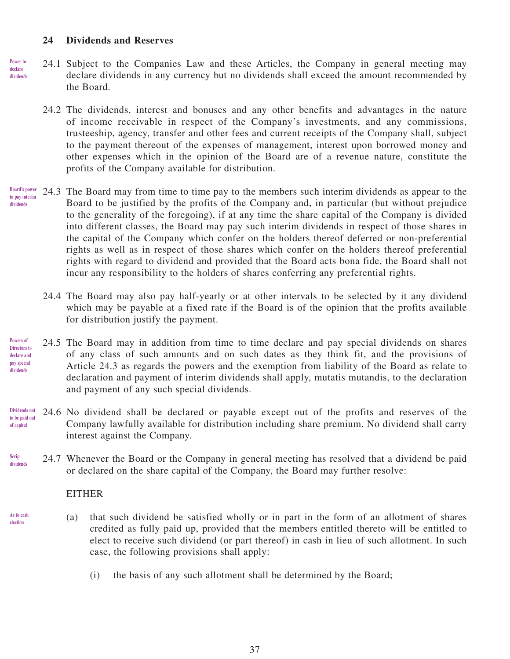### **24 Dividends and Reserves**

- 24.1 Subject to the Companies Law and these Articles, the Company in general meeting may declare dividends in any currency but no dividends shall exceed the amount recommended by the Board. **Power to declare dividends**
	- 24.2 The dividends, interest and bonuses and any other benefits and advantages in the nature of income receivable in respect of the Company's investments, and any commissions, trusteeship, agency, transfer and other fees and current receipts of the Company shall, subject to the payment thereout of the expenses of management, interest upon borrowed money and other expenses which in the opinion of the Board are of a revenue nature, constitute the profits of the Company available for distribution.
- 24.3 The Board may from time to time pay to the members such interim dividends as appear to the Board to be justified by the profits of the Company and, in particular (but without prejudice to the generality of the foregoing), if at any time the share capital of the Company is divided into different classes, the Board may pay such interim dividends in respect of those shares in the capital of the Company which confer on the holders thereof deferred or non-preferential rights as well as in respect of those shares which confer on the holders thereof preferential rights with regard to dividend and provided that the Board acts bona fide, the Board shall not incur any responsibility to the holders of shares conferring any preferential rights. **Board's power to pay interim dividends**
	- 24.4 The Board may also pay half-yearly or at other intervals to be selected by it any dividend which may be payable at a fixed rate if the Board is of the opinion that the profits available for distribution justify the payment.
- 24.5 The Board may in addition from time to time declare and pay special dividends on shares of any class of such amounts and on such dates as they think fit, and the provisions of Article 24.3 as regards the powers and the exemption from liability of the Board as relate to declaration and payment of interim dividends shall apply, mutatis mutandis, to the declaration and payment of any such special dividends. **Powers of Directors to declare and pay special dividends**
- 24.6 No dividend shall be declared or payable except out of the profits and reserves of the Company lawfully available for distribution including share premium. No dividend shall carry interest against the Company. **Dividends not to be paid out of capital**
- 24.7 Whenever the Board or the Company in general meeting has resolved that a dividend be paid or declared on the share capital of the Company, the Board may further resolve: **Scrip dividends**

#### EITHER

**As to cash election**

- (a) that such dividend be satisfied wholly or in part in the form of an allotment of shares credited as fully paid up, provided that the members entitled thereto will be entitled to elect to receive such dividend (or part thereof) in cash in lieu of such allotment. In such case, the following provisions shall apply:
	- (i) the basis of any such allotment shall be determined by the Board;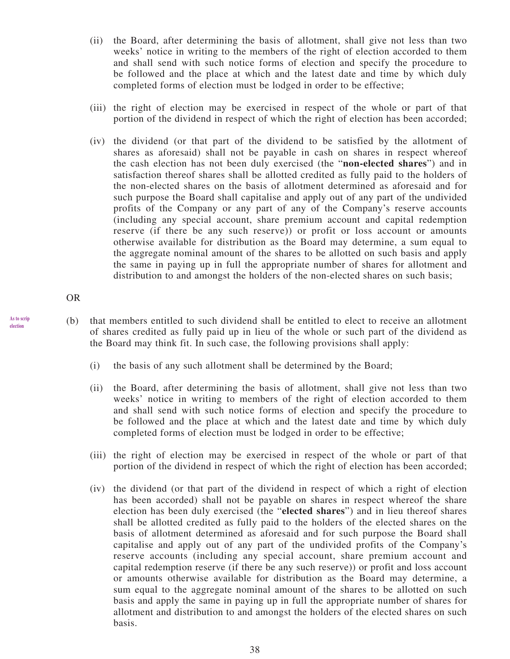- (ii) the Board, after determining the basis of allotment, shall give not less than two weeks' notice in writing to the members of the right of election accorded to them and shall send with such notice forms of election and specify the procedure to be followed and the place at which and the latest date and time by which duly completed forms of election must be lodged in order to be effective;
- (iii) the right of election may be exercised in respect of the whole or part of that portion of the dividend in respect of which the right of election has been accorded;
- (iv) the dividend (or that part of the dividend to be satisfied by the allotment of shares as aforesaid) shall not be payable in cash on shares in respect whereof the cash election has not been duly exercised (the "**non-elected shares**") and in satisfaction thereof shares shall be allotted credited as fully paid to the holders of the non-elected shares on the basis of allotment determined as aforesaid and for such purpose the Board shall capitalise and apply out of any part of the undivided profits of the Company or any part of any of the Company's reserve accounts (including any special account, share premium account and capital redemption reserve (if there be any such reserve)) or profit or loss account or amounts otherwise available for distribution as the Board may determine, a sum equal to the aggregate nominal amount of the shares to be allotted on such basis and apply the same in paying up in full the appropriate number of shares for allotment and distribution to and amongst the holders of the non-elected shares on such basis;

OR

**As to scrip election**

- (b) that members entitled to such dividend shall be entitled to elect to receive an allotment of shares credited as fully paid up in lieu of the whole or such part of the dividend as the Board may think fit. In such case, the following provisions shall apply:
	- (i) the basis of any such allotment shall be determined by the Board;
	- (ii) the Board, after determining the basis of allotment, shall give not less than two weeks' notice in writing to members of the right of election accorded to them and shall send with such notice forms of election and specify the procedure to be followed and the place at which and the latest date and time by which duly completed forms of election must be lodged in order to be effective;
	- (iii) the right of election may be exercised in respect of the whole or part of that portion of the dividend in respect of which the right of election has been accorded;
	- (iv) the dividend (or that part of the dividend in respect of which a right of election has been accorded) shall not be payable on shares in respect whereof the share election has been duly exercised (the "**elected shares**") and in lieu thereof shares shall be allotted credited as fully paid to the holders of the elected shares on the basis of allotment determined as aforesaid and for such purpose the Board shall capitalise and apply out of any part of the undivided profits of the Company's reserve accounts (including any special account, share premium account and capital redemption reserve (if there be any such reserve)) or profit and loss account or amounts otherwise available for distribution as the Board may determine, a sum equal to the aggregate nominal amount of the shares to be allotted on such basis and apply the same in paying up in full the appropriate number of shares for allotment and distribution to and amongst the holders of the elected shares on such basis.

38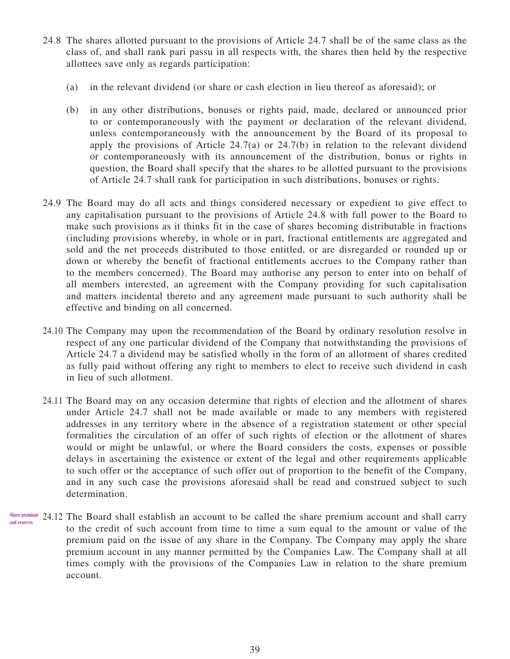- 24.8 The shares allotted pursuant to the provisions of Article 24.7 shall be of the same class as the class of, and shall rank pari passu in all respects with, the shares then held by the respective allottees save only as regards participation:
	- (a) in the relevant dividend (or share or cash election in lieu thereof as aforesaid); or
	- (b) in any other distributions, bonuses or rights paid, made, declared or announced prior to or contemporaneously with the payment or declaration of the relevant dividend, unless contemporaneously with the announcement by the Board of its proposal to apply the provisions of Article  $24.7(a)$  or  $24.7(b)$  in relation to the relevant dividend or contemporaneously with its announcement of the distribution, bonus or rights in question, the Board shall specify that the shares to be allotted pursuant to the provisions of Article 24.7 shall rank for participation in such distributions, bonuses or rights.
- 24.9 The Board may do all acts and things considered necessary or expedient to give effect to any capitalisation pursuant to the provisions of Article 24.8 with full power to the Board to make such provisions as it thinks fit in the case of shares becoming distributable in fractions (including provisions whereby, in whole or in part, fractional entitlements are aggregated and sold and the net proceeds distributed to those entitled, or are disregarded or rounded up or down or whereby the benefit of fractional entitlements accrues to the Company rather than to the members concerned). The Board may authorise any person to enter into on behalf of all members interested, an agreement with the Company providing for such capitalisation and matters incidental thereto and any agreement made pursuant to such authority shall be effective and binding on all concerned.
- 24.10 The Company may upon the recommendation of the Board by ordinary resolution resolve in respect of any one particular dividend of the Company that notwithstanding the provisions of Article 24.7 a dividend may be satisfied wholly in the form of an allotment of shares credited as fully paid without offering any right to members to elect to receive such dividend in cash in lieu of such allotment.
- 24.11 The Board may on any occasion determine that rights of election and the allotment of shares under Article 24.7 shall not be made available or made to any members with registered addresses in any territory where in the absence of a registration statement or other special formalities the circulation of an offer of such rights of election or the allotment of shares would or might be unlawful, or where the Board considers the costs, expenses or possible delays in ascertaining the existence or extent of the legal and other requirements applicable to such offer or the acceptance of such offer out of proportion to the benefit of the Company, and in any such case the provisions aforesaid shall be read and construed subject to such determination.
- Share premium 24.12 The Board shall establish an account to be called the share premium account and shall carry to the credit of such account from time to time a sum equal to the amount or value of the premium paid on the issue of any share in the Company. The Company may apply the share premium account in any manner permitted by the Companies Law. The Company shall at all times comply with the provisions of the Companies Law in relation to the share premium account. **and reserves**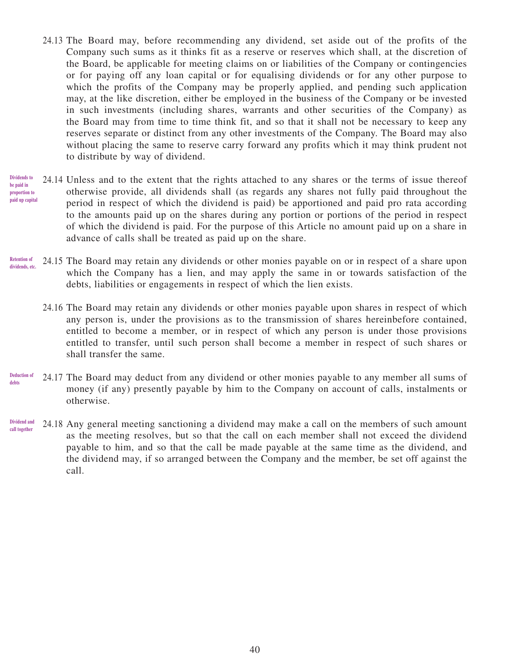- 24.13 The Board may, before recommending any dividend, set aside out of the profits of the Company such sums as it thinks fit as a reserve or reserves which shall, at the discretion of the Board, be applicable for meeting claims on or liabilities of the Company or contingencies or for paying off any loan capital or for equalising dividends or for any other purpose to which the profits of the Company may be properly applied, and pending such application may, at the like discretion, either be employed in the business of the Company or be invested in such investments (including shares, warrants and other securities of the Company) as the Board may from time to time think fit, and so that it shall not be necessary to keep any reserves separate or distinct from any other investments of the Company. The Board may also without placing the same to reserve carry forward any profits which it may think prudent not to distribute by way of dividend.
- 24.14 Unless and to the extent that the rights attached to any shares or the terms of issue thereof otherwise provide, all dividends shall (as regards any shares not fully paid throughout the period in respect of which the dividend is paid) be apportioned and paid pro rata according to the amounts paid up on the shares during any portion or portions of the period in respect of which the dividend is paid. For the purpose of this Article no amount paid up on a share in advance of calls shall be treated as paid up on the share. **Dividends to be paid in proportion to paid up capital**
- 24.15 The Board may retain any dividends or other monies payable on or in respect of a share upon which the Company has a lien, and may apply the same in or towards satisfaction of the debts, liabilities or engagements in respect of which the lien exists. **Retention of dividends, etc.**
	- 24.16 The Board may retain any dividends or other monies payable upon shares in respect of which any person is, under the provisions as to the transmission of shares hereinbefore contained, entitled to become a member, or in respect of which any person is under those provisions entitled to transfer, until such person shall become a member in respect of such shares or shall transfer the same.
- 24.17 The Board may deduct from any dividend or other monies payable to any member all sums of money (if any) presently payable by him to the Company on account of calls, instalments or otherwise. **Deduction of debts**
- 24.18 Any general meeting sanctioning a dividend may make a call on the members of such amount as the meeting resolves, but so that the call on each member shall not exceed the dividend payable to him, and so that the call be made payable at the same time as the dividend, and the dividend may, if so arranged between the Company and the member, be set off against the call. **Dividend and call together**

40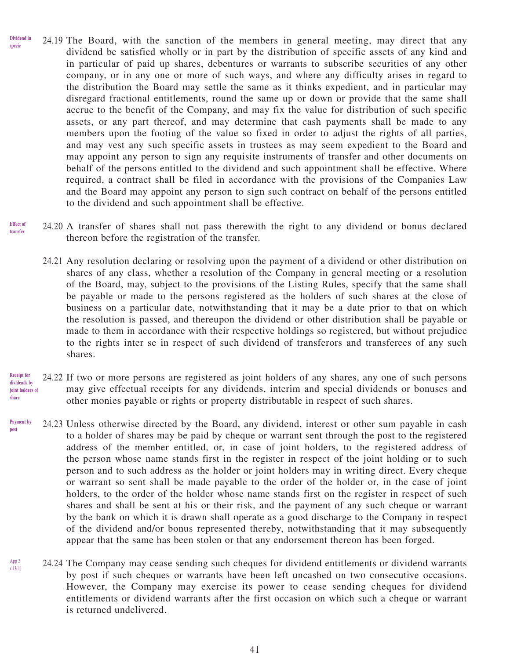- 24.19 The Board, with the sanction of the members in general meeting, may direct that any dividend be satisfied wholly or in part by the distribution of specific assets of any kind and in particular of paid up shares, debentures or warrants to subscribe securities of any other company, or in any one or more of such ways, and where any difficulty arises in regard to the distribution the Board may settle the same as it thinks expedient, and in particular may disregard fractional entitlements, round the same up or down or provide that the same shall accrue to the benefit of the Company, and may fix the value for distribution of such specific assets, or any part thereof, and may determine that cash payments shall be made to any members upon the footing of the value so fixed in order to adjust the rights of all parties, and may vest any such specific assets in trustees as may seem expedient to the Board and may appoint any person to sign any requisite instruments of transfer and other documents on behalf of the persons entitled to the dividend and such appointment shall be effective. Where required, a contract shall be filed in accordance with the provisions of the Companies Law and the Board may appoint any person to sign such contract on behalf of the persons entitled to the dividend and such appointment shall be effective. **Dividend in specie**
- 24.20 A transfer of shares shall not pass therewith the right to any dividend or bonus declared thereon before the registration of the transfer. **Effect of transfer**
	- 24.21 Any resolution declaring or resolving upon the payment of a dividend or other distribution on shares of any class, whether a resolution of the Company in general meeting or a resolution of the Board, may, subject to the provisions of the Listing Rules, specify that the same shall be payable or made to the persons registered as the holders of such shares at the close of business on a particular date, notwithstanding that it may be a date prior to that on which the resolution is passed, and thereupon the dividend or other distribution shall be payable or made to them in accordance with their respective holdings so registered, but without prejudice to the rights inter se in respect of such dividend of transferors and transferees of any such shares.
- 24.22 If two or more persons are registered as joint holders of any shares, any one of such persons may give effectual receipts for any dividends, interim and special dividends or bonuses and other monies payable or rights or property distributable in respect of such shares. **Receipt for dividends by joint holders of share**
- 24.23 Unless otherwise directed by the Board, any dividend, interest or other sum payable in cash to a holder of shares may be paid by cheque or warrant sent through the post to the registered address of the member entitled, or, in case of joint holders, to the registered address of the person whose name stands first in the register in respect of the joint holding or to such person and to such address as the holder or joint holders may in writing direct. Every cheque or warrant so sent shall be made payable to the order of the holder or, in the case of joint holders, to the order of the holder whose name stands first on the register in respect of such shares and shall be sent at his or their risk, and the payment of any such cheque or warrant by the bank on which it is drawn shall operate as a good discharge to the Company in respect of the dividend and/or bonus represented thereby, notwithstanding that it may subsequently appear that the same has been stolen or that any endorsement thereon has been forged. **Payment by post**
- 24.24 The Company may cease sending such cheques for dividend entitlements or dividend warrants by post if such cheques or warrants have been left uncashed on two consecutive occasions. However, the Company may exercise its power to cease sending cheques for dividend entitlements or dividend warrants after the first occasion on which such a cheque or warrant is returned undelivered. App 3 r.13(1)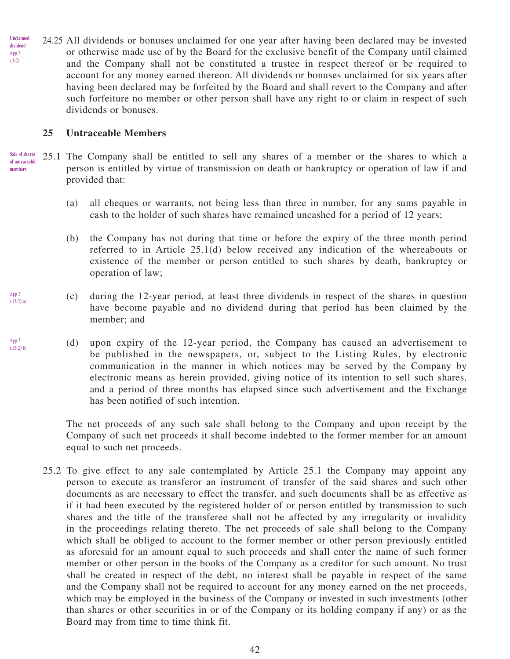24.25 All dividends or bonuses unclaimed for one year after having been declared may be invested or otherwise made use of by the Board for the exclusive benefit of the Company until claimed and the Company shall not be constituted a trustee in respect thereof or be required to account for any money earned thereon. All dividends or bonuses unclaimed for six years after having been declared may be forfeited by the Board and shall revert to the Company and after such forfeiture no member or other person shall have any right to or claim in respect of such dividends or bonuses. **Unclaimed dividend** App 3 r.3(2)

### **25 Untraceable Members**

25.1 The Company shall be entitled to sell any shares of a member or the shares to which a person is entitled by virtue of transmission on death or bankruptcy or operation of law if and provided that: **Sale of shares of untraceable members**

- (a) all cheques or warrants, not being less than three in number, for any sums payable in cash to the holder of such shares have remained uncashed for a period of 12 years;
- (b) the Company has not during that time or before the expiry of the three month period referred to in Article 25.1(d) below received any indication of the whereabouts or existence of the member or person entitled to such shares by death, bankruptcy or operation of law;
- (c) during the 12-year period, at least three dividends in respect of the shares in question have become payable and no dividend during that period has been claimed by the member; and
- (d) upon expiry of the 12-year period, the Company has caused an advertisement to be published in the newspapers, or, subject to the Listing Rules, by electronic communication in the manner in which notices may be served by the Company by electronic means as herein provided, giving notice of its intention to sell such shares, and a period of three months has elapsed since such advertisement and the Exchange has been notified of such intention.

The net proceeds of any such sale shall belong to the Company and upon receipt by the Company of such net proceeds it shall become indebted to the former member for an amount equal to such net proceeds.

25.2 To give effect to any sale contemplated by Article 25.1 the Company may appoint any person to execute as transferor an instrument of transfer of the said shares and such other documents as are necessary to effect the transfer, and such documents shall be as effective as if it had been executed by the registered holder of or person entitled by transmission to such shares and the title of the transferee shall not be affected by any irregularity or invalidity in the proceedings relating thereto. The net proceeds of sale shall belong to the Company which shall be obliged to account to the former member or other person previously entitled as aforesaid for an amount equal to such proceeds and shall enter the name of such former member or other person in the books of the Company as a creditor for such amount. No trust shall be created in respect of the debt, no interest shall be payable in respect of the same and the Company shall not be required to account for any money earned on the net proceeds, which may be employed in the business of the Company or invested in such investments (other than shares or other securities in or of the Company or its holding company if any) or as the Board may from time to time think fit.

App 3 r.13(2)(b)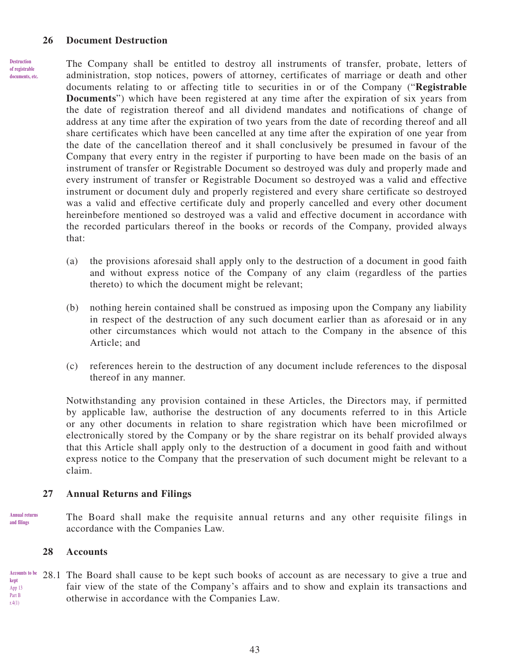#### **26 Document Destruction**

**Destruction of registrable documents, etc.** The Company shall be entitled to destroy all instruments of transfer, probate, letters of administration, stop notices, powers of attorney, certificates of marriage or death and other documents relating to or affecting title to securities in or of the Company ("**Registrable Documents**") which have been registered at any time after the expiration of six years from the date of registration thereof and all dividend mandates and notifications of change of address at any time after the expiration of two years from the date of recording thereof and all share certificates which have been cancelled at any time after the expiration of one year from the date of the cancellation thereof and it shall conclusively be presumed in favour of the Company that every entry in the register if purporting to have been made on the basis of an instrument of transfer or Registrable Document so destroyed was duly and properly made and every instrument of transfer or Registrable Document so destroyed was a valid and effective instrument or document duly and properly registered and every share certificate so destroyed was a valid and effective certificate duly and properly cancelled and every other document hereinbefore mentioned so destroyed was a valid and effective document in accordance with the recorded particulars thereof in the books or records of the Company, provided always that:

- (a) the provisions aforesaid shall apply only to the destruction of a document in good faith and without express notice of the Company of any claim (regardless of the parties thereto) to which the document might be relevant;
- (b) nothing herein contained shall be construed as imposing upon the Company any liability in respect of the destruction of any such document earlier than as aforesaid or in any other circumstances which would not attach to the Company in the absence of this Article; and
- (c) references herein to the destruction of any document include references to the disposal thereof in any manner.

Notwithstanding any provision contained in these Articles, the Directors may, if permitted by applicable law, authorise the destruction of any documents referred to in this Article or any other documents in relation to share registration which have been microfilmed or electronically stored by the Company or by the share registrar on its behalf provided always that this Article shall apply only to the destruction of a document in good faith and without express notice to the Company that the preservation of such document might be relevant to a claim.

#### **27 Annual Returns and Filings**

The Board shall make the requisite annual returns and any other requisite filings in accordance with the Companies Law. **Annual returns and filings**

#### **28 Accounts**

28.1 The Board shall cause to be kept such books of account as are necessary to give a true and fair view of the state of the Company's affairs and to show and explain its transactions and otherwise in accordance with the Companies Law. **Accounts to be kept** App 13 Part B r.4(1)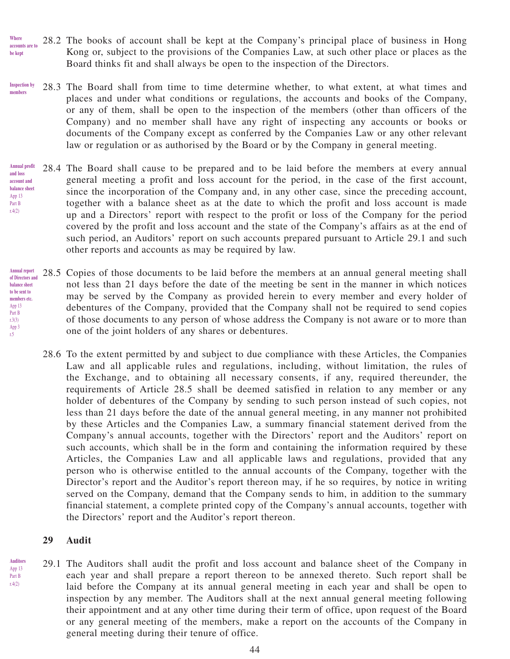- 28.2 The books of account shall be kept at the Company's principal place of business in Hong Kong or, subject to the provisions of the Companies Law, at such other place or places as the Board thinks fit and shall always be open to the inspection of the Directors. **Where accounts are to be kept**
- 28.3 The Board shall from time to time determine whether, to what extent, at what times and places and under what conditions or regulations, the accounts and books of the Company, or any of them, shall be open to the inspection of the members (other than officers of the Company) and no member shall have any right of inspecting any accounts or books or documents of the Company except as conferred by the Companies Law or any other relevant law or regulation or as authorised by the Board or by the Company in general meeting. **Inspection by members**
- 28.4 The Board shall cause to be prepared and to be laid before the members at every annual general meeting a profit and loss account for the period, in the case of the first account, since the incorporation of the Company and, in any other case, since the preceding account, together with a balance sheet as at the date to which the profit and loss account is made up and a Directors' report with respect to the profit or loss of the Company for the period covered by the profit and loss account and the state of the Company's affairs as at the end of such period, an Auditors' report on such accounts prepared pursuant to Article 29.1 and such other reports and accounts as may be required by law. **Annual profit and loss account and balance sheet** App 13 Part B r.4(2)
- 28.5 Copies of those documents to be laid before the members at an annual general meeting shall not less than 21 days before the date of the meeting be sent in the manner in which notices may be served by the Company as provided herein to every member and every holder of debentures of the Company, provided that the Company shall not be required to send copies of those documents to any person of whose address the Company is not aware or to more than one of the joint holders of any shares or debentures. **Annual report of Directors and balance sheet to be sent to members etc.** App 13 Part B r.3(3) App 3 r.5
	- 28.6 To the extent permitted by and subject to due compliance with these Articles, the Companies Law and all applicable rules and regulations, including, without limitation, the rules of the Exchange, and to obtaining all necessary consents, if any, required thereunder, the requirements of Article 28.5 shall be deemed satisfied in relation to any member or any holder of debentures of the Company by sending to such person instead of such copies, not less than 21 days before the date of the annual general meeting, in any manner not prohibited by these Articles and the Companies Law, a summary financial statement derived from the Company's annual accounts, together with the Directors' report and the Auditors' report on such accounts, which shall be in the form and containing the information required by these Articles, the Companies Law and all applicable laws and regulations, provided that any person who is otherwise entitled to the annual accounts of the Company, together with the Director's report and the Auditor's report thereon may, if he so requires, by notice in writing served on the Company, demand that the Company sends to him, in addition to the summary financial statement, a complete printed copy of the Company's annual accounts, together with the Directors' report and the Auditor's report thereon.

#### **29 Audit**

**Auditors** App 13 Part B r.4(2)

29.1 The Auditors shall audit the profit and loss account and balance sheet of the Company in each year and shall prepare a report thereon to be annexed thereto. Such report shall be laid before the Company at its annual general meeting in each year and shall be open to inspection by any member. The Auditors shall at the next annual general meeting following their appointment and at any other time during their term of office, upon request of the Board or any general meeting of the members, make a report on the accounts of the Company in general meeting during their tenure of office.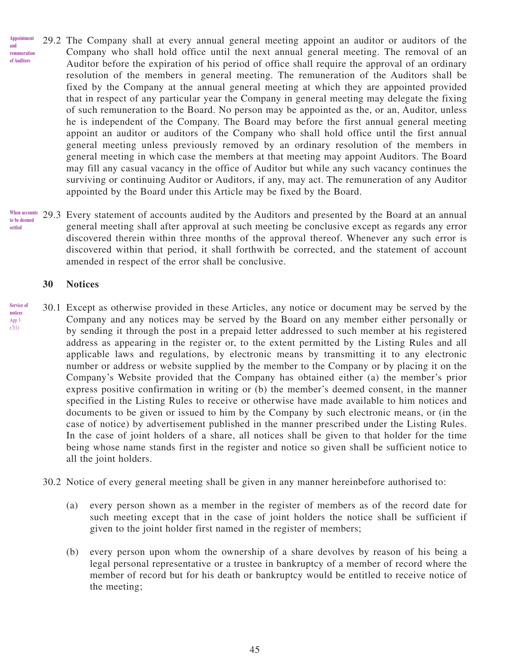- 29.2 The Company shall at every annual general meeting appoint an auditor or auditors of the Company who shall hold office until the next annual general meeting. The removal of an Auditor before the expiration of his period of office shall require the approval of an ordinary resolution of the members in general meeting. The remuneration of the Auditors shall be fixed by the Company at the annual general meeting at which they are appointed provided that in respect of any particular year the Company in general meeting may delegate the fixing of such remuneration to the Board. No person may be appointed as the, or an, Auditor, unless he is independent of the Company. The Board may before the first annual general meeting appoint an auditor or auditors of the Company who shall hold office until the first annual general meeting unless previously removed by an ordinary resolution of the members in general meeting in which case the members at that meeting may appoint Auditors. The Board may fill any casual vacancy in the office of Auditor but while any such vacancy continues the surviving or continuing Auditor or Auditors, if any, may act. The remuneration of any Auditor appointed by the Board under this Article may be fixed by the Board. **Appointment and remuneration of Auditors**
- 29.3 Every statement of accounts audited by the Auditors and presented by the Board at an annual general meeting shall after approval at such meeting be conclusive except as regards any error discovered therein within three months of the approval thereof. Whenever any such error is discovered within that period, it shall forthwith be corrected, and the statement of account amended in respect of the error shall be conclusive. **When accounts to be deemed settled**

#### **30 Notices**

- 30.1 Except as otherwise provided in these Articles, any notice or document may be served by the Company and any notices may be served by the Board on any member either personally or by sending it through the post in a prepaid letter addressed to such member at his registered address as appearing in the register or, to the extent permitted by the Listing Rules and all applicable laws and regulations, by electronic means by transmitting it to any electronic number or address or website supplied by the member to the Company or by placing it on the Company's Website provided that the Company has obtained either (a) the member's prior express positive confirmation in writing or (b) the member's deemed consent, in the manner specified in the Listing Rules to receive or otherwise have made available to him notices and documents to be given or issued to him by the Company by such electronic means, or (in the case of notice) by advertisement published in the manner prescribed under the Listing Rules. In the case of joint holders of a share, all notices shall be given to that holder for the time being whose name stands first in the register and notice so given shall be sufficient notice to all the joint holders. **Service of notices** App 3 r.7(1)
	- 30.2 Notice of every general meeting shall be given in any manner hereinbefore authorised to:
		- (a) every person shown as a member in the register of members as of the record date for such meeting except that in the case of joint holders the notice shall be sufficient if given to the joint holder first named in the register of members;
		- (b) every person upon whom the ownership of a share devolves by reason of his being a legal personal representative or a trustee in bankruptcy of a member of record where the member of record but for his death or bankruptcy would be entitled to receive notice of the meeting;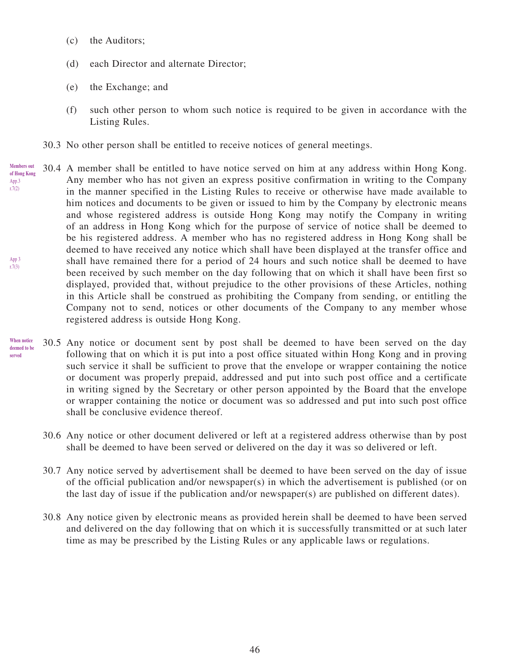- (c) the Auditors;
- (d) each Director and alternate Director;
- (e) the Exchange; and
- (f) such other person to whom such notice is required to be given in accordance with the Listing Rules.
- 30.3 No other person shall be entitled to receive notices of general meetings.
- 30.4 A member shall be entitled to have notice served on him at any address within Hong Kong. Any member who has not given an express positive confirmation in writing to the Company in the manner specified in the Listing Rules to receive or otherwise have made available to him notices and documents to be given or issued to him by the Company by electronic means and whose registered address is outside Hong Kong may notify the Company in writing of an address in Hong Kong which for the purpose of service of notice shall be deemed to be his registered address. A member who has no registered address in Hong Kong shall be deemed to have received any notice which shall have been displayed at the transfer office and shall have remained there for a period of 24 hours and such notice shall be deemed to have been received by such member on the day following that on which it shall have been first so displayed, provided that, without prejudice to the other provisions of these Articles, nothing in this Article shall be construed as prohibiting the Company from sending, or entitling the Company not to send, notices or other documents of the Company to any member whose registered address is outside Hong Kong. **Members out of Hong Kong** App.3 r.7(2) App 3 r.7(3)
- 30.5 Any notice or document sent by post shall be deemed to have been served on the day following that on which it is put into a post office situated within Hong Kong and in proving such service it shall be sufficient to prove that the envelope or wrapper containing the notice or document was properly prepaid, addressed and put into such post office and a certificate in writing signed by the Secretary or other person appointed by the Board that the envelope or wrapper containing the notice or document was so addressed and put into such post office shall be conclusive evidence thereof. **When notice deemed to be served**
	- 30.6 Any notice or other document delivered or left at a registered address otherwise than by post shall be deemed to have been served or delivered on the day it was so delivered or left.
	- 30.7 Any notice served by advertisement shall be deemed to have been served on the day of issue of the official publication and/or newspaper(s) in which the advertisement is published (or on the last day of issue if the publication and/or newspaper(s) are published on different dates).
	- 30.8 Any notice given by electronic means as provided herein shall be deemed to have been served and delivered on the day following that on which it is successfully transmitted or at such later time as may be prescribed by the Listing Rules or any applicable laws or regulations.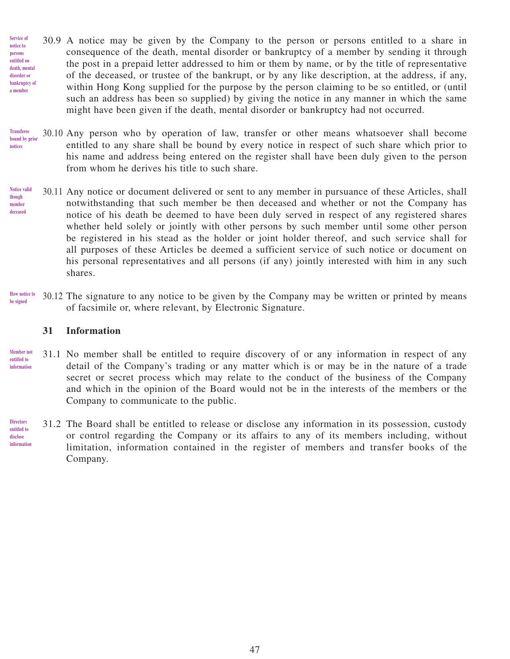- 30.9 A notice may be given by the Company to the person or persons entitled to a share in consequence of the death, mental disorder or bankruptcy of a member by sending it through the post in a prepaid letter addressed to him or them by name, or by the title of representative of the deceased, or trustee of the bankrupt, or by any like description, at the address, if any, within Hong Kong supplied for the purpose by the person claiming to be so entitled, or (until such an address has been so supplied) by giving the notice in any manner in which the same might have been given if the death, mental disorder or bankruptcy had not occurred. **Service of notice to persons entitled on death, mental disorder or bankruptcy of a member**
- 30.10 Any person who by operation of law, transfer or other means whatsoever shall become entitled to any share shall be bound by every notice in respect of such share which prior to his name and address being entered on the register shall have been duly given to the person from whom he derives his title to such share. **Transferee bound by prior notices**
- 30.11 Any notice or document delivered or sent to any member in pursuance of these Articles, shall notwithstanding that such member be then deceased and whether or not the Company has notice of his death be deemed to have been duly served in respect of any registered shares whether held solely or jointly with other persons by such member until some other person be registered in his stead as the holder or joint holder thereof, and such service shall for all purposes of these Articles be deemed a sufficient service of such notice or document on his personal representatives and all persons (if any) jointly interested with him in any such shares. **Notice valid though member deceased**
- 30.12 The signature to any notice to be given by the Company may be written or printed by means of facsimile or, where relevant, by Electronic Signature. **How notice to be signed**

#### **31 Information**

- 31.1 No member shall be entitled to require discovery of or any information in respect of any detail of the Company's trading or any matter which is or may be in the nature of a trade secret or secret process which may relate to the conduct of the business of the Company and which in the opinion of the Board would not be in the interests of the members or the Company to communicate to the public. **Member not entitled to information**
- 31.2 The Board shall be entitled to release or disclose any information in its possession, custody or control regarding the Company or its affairs to any of its members including, without limitation, information contained in the register of members and transfer books of the Company. **Directors entitled to disclose information**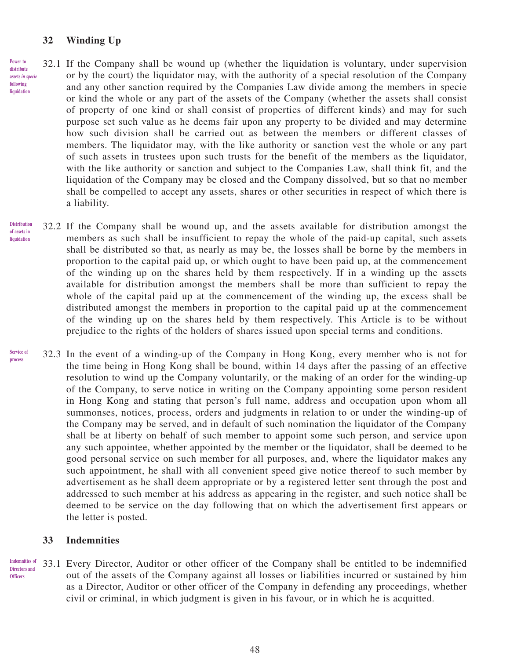#### **32 Winding Up**

- 32.1 If the Company shall be wound up (whether the liquidation is voluntary, under supervision or by the court) the liquidator may, with the authority of a special resolution of the Company and any other sanction required by the Companies Law divide among the members in specie or kind the whole or any part of the assets of the Company (whether the assets shall consist of property of one kind or shall consist of properties of different kinds) and may for such purpose set such value as he deems fair upon any property to be divided and may determine how such division shall be carried out as between the members or different classes of members. The liquidator may, with the like authority or sanction vest the whole or any part of such assets in trustees upon such trusts for the benefit of the members as the liquidator, with the like authority or sanction and subject to the Companies Law, shall think fit, and the liquidation of the Company may be closed and the Company dissolved, but so that no member shall be compelled to accept any assets, shares or other securities in respect of which there is a liability. **Power to distribute assets** *in specie* **following liquidation**
- 32.2 If the Company shall be wound up, and the assets available for distribution amongst the members as such shall be insufficient to repay the whole of the paid-up capital, such assets shall be distributed so that, as nearly as may be, the losses shall be borne by the members in proportion to the capital paid up, or which ought to have been paid up, at the commencement of the winding up on the shares held by them respectively. If in a winding up the assets available for distribution amongst the members shall be more than sufficient to repay the whole of the capital paid up at the commencement of the winding up, the excess shall be distributed amongst the members in proportion to the capital paid up at the commencement of the winding up on the shares held by them respectively. This Article is to be without prejudice to the rights of the holders of shares issued upon special terms and conditions. **Distribution of assets in liquidation**
- 32.3 In the event of a winding-up of the Company in Hong Kong, every member who is not for the time being in Hong Kong shall be bound, within 14 days after the passing of an effective resolution to wind up the Company voluntarily, or the making of an order for the winding-up of the Company, to serve notice in writing on the Company appointing some person resident in Hong Kong and stating that person's full name, address and occupation upon whom all summonses, notices, process, orders and judgments in relation to or under the winding-up of the Company may be served, and in default of such nomination the liquidator of the Company shall be at liberty on behalf of such member to appoint some such person, and service upon any such appointee, whether appointed by the member or the liquidator, shall be deemed to be good personal service on such member for all purposes, and, where the liquidator makes any such appointment, he shall with all convenient speed give notice thereof to such member by advertisement as he shall deem appropriate or by a registered letter sent through the post and addressed to such member at his address as appearing in the register, and such notice shall be deemed to be service on the day following that on which the advertisement first appears or the letter is posted. **Service of process**

#### **33 Indemnities**

33.1 Every Director, Auditor or other officer of the Company shall be entitled to be indemnified out of the assets of the Company against all losses or liabilities incurred or sustained by him as a Director, Auditor or other officer of the Company in defending any proceedings, whether civil or criminal, in which judgment is given in his favour, or in which he is acquitted. **Indemnities of Directors and Officers**